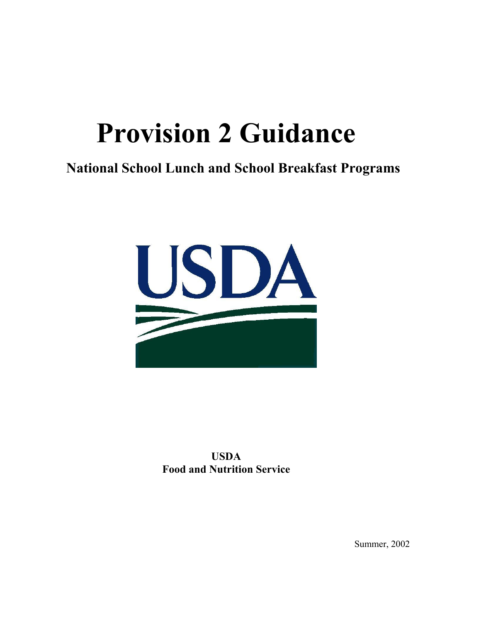# **Provision 2 Guidance**

# **National School Lunch and School Breakfast Programs**



**USDA Food and Nutrition Service** 

Summer, 2002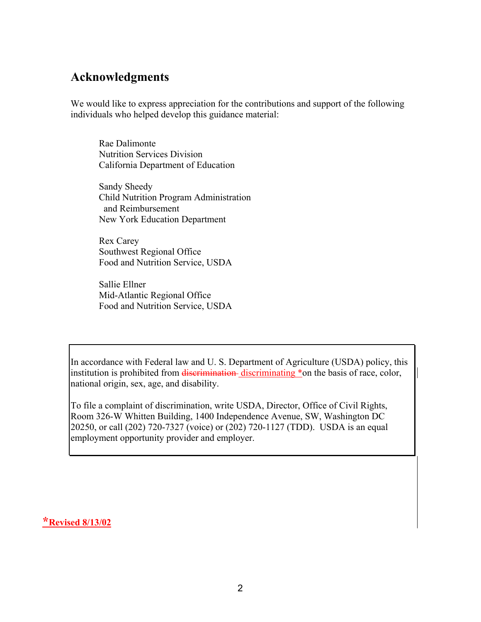### **Acknowledgments**

We would like to express appreciation for the contributions and support of the following individuals who helped develop this guidance material:

Rae Dalimonte Nutrition Services Division California Department of Education

Sandy Sheedy Child Nutrition Program Administration and Reimbursement New York Education Department

Rex Carey Southwest Regional Office Food and Nutrition Service, USDA

Sallie Ellner Mid-Atlantic Regional Office Food and Nutrition Service, USDA

In accordance with Federal law and U. S. Department of Agriculture (USDA) policy, this institution is prohibited from discrimination-discriminating \*on the basis of race, color, national origin, sex, age, and disability.

To file a complaint of discrimination, write USDA, Director, Office of Civil Rights, Room 326-W Whitten Building, 1400 Independence Avenue, SW, Washington DC 20250, or call (202) 720-7327 (voice) or (202) 720-1127 (TDD). USDA is an equal employment opportunity provider and employer.

**\*Revised 8/13/02**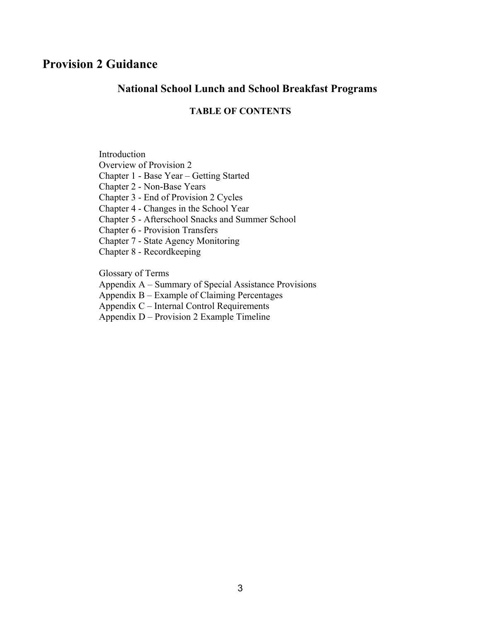## **Provision 2 Guidance**

#### **National School Lunch and School Breakfast Programs**

#### **TABLE OF CONTENTS**

Introduction Overview of Provision 2 Chapter 1 - Base Year – Getting Started

Chapter 2 - Non-Base Years

Chapter 3 - End of Provision 2 Cycles

Chapter 4 - Changes in the School Year

Chapter 5 - Afterschool Snacks and Summer School

Chapter 6 - Provision Transfers

Chapter 7 - State Agency Monitoring

Chapter 8 - Recordkeeping

Glossary of Terms

Appendix A – Summary of Special Assistance Provisions

Appendix B – Example of Claiming Percentages

Appendix C – Internal Control Requirements

Appendix D – Provision 2 Example Timeline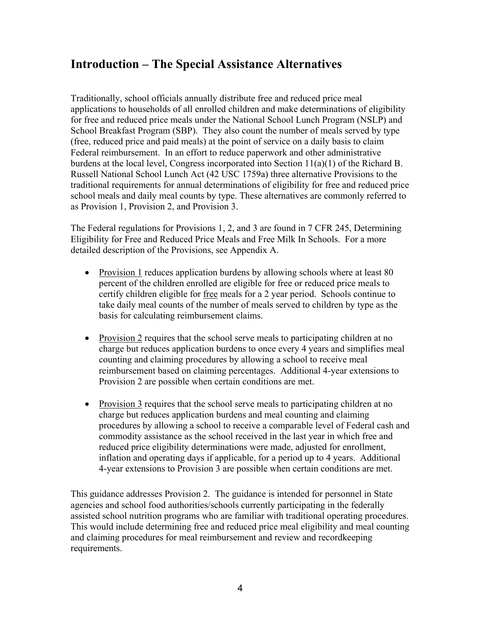# **Introduction – The Special Assistance Alternatives**

Traditionally, school officials annually distribute free and reduced price meal applications to households of all enrolled children and make determinations of eligibility for free and reduced price meals under the National School Lunch Program (NSLP) and School Breakfast Program (SBP). They also count the number of meals served by type (free, reduced price and paid meals) at the point of service on a daily basis to claim Federal reimbursement. In an effort to reduce paperwork and other administrative burdens at the local level, Congress incorporated into Section 11(a)(1) of the Richard B. Russell National School Lunch Act (42 USC 1759a) three alternative Provisions to the traditional requirements for annual determinations of eligibility for free and reduced price school meals and daily meal counts by type. These alternatives are commonly referred to as Provision 1, Provision 2, and Provision 3.

The Federal regulations for Provisions 1, 2, and 3 are found in 7 CFR 245, Determining Eligibility for Free and Reduced Price Meals and Free Milk In Schools. For a more detailed description of the Provisions, see Appendix A.

- Provision 1 reduces application burdens by allowing schools where at least 80 percent of the children enrolled are eligible for free or reduced price meals to certify children eligible for free meals for a 2 year period. Schools continue to take daily meal counts of the number of meals served to children by type as the basis for calculating reimbursement claims.
- Provision 2 requires that the school serve meals to participating children at no charge but reduces application burdens to once every 4 years and simplifies meal counting and claiming procedures by allowing a school to receive meal reimbursement based on claiming percentages. Additional 4-year extensions to Provision 2 are possible when certain conditions are met.
- Provision 3 requires that the school serve meals to participating children at no charge but reduces application burdens and meal counting and claiming procedures by allowing a school to receive a comparable level of Federal cash and commodity assistance as the school received in the last year in which free and reduced price eligibility determinations were made, adjusted for enrollment, inflation and operating days if applicable, for a period up to 4 years. Additional 4-year extensions to Provision 3 are possible when certain conditions are met.

This guidance addresses Provision 2. The guidance is intended for personnel in State agencies and school food authorities/schools currently participating in the federally assisted school nutrition programs who are familiar with traditional operating procedures. This would include determining free and reduced price meal eligibility and meal counting and claiming procedures for meal reimbursement and review and recordkeeping requirements.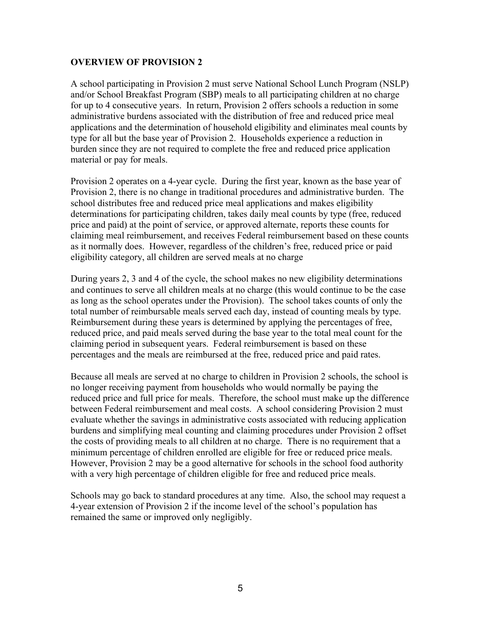#### **OVERVIEW OF PROVISION 2**

A school participating in Provision 2 must serve National School Lunch Program (NSLP) and/or School Breakfast Program (SBP) meals to all participating children at no charge for up to 4 consecutive years. In return, Provision 2 offers schools a reduction in some administrative burdens associated with the distribution of free and reduced price meal applications and the determination of household eligibility and eliminates meal counts by type for all but the base year of Provision 2. Households experience a reduction in burden since they are not required to complete the free and reduced price application material or pay for meals.

Provision 2 operates on a 4-year cycle. During the first year, known as the base year of Provision 2, there is no change in traditional procedures and administrative burden. The school distributes free and reduced price meal applications and makes eligibility determinations for participating children, takes daily meal counts by type (free, reduced price and paid) at the point of service, or approved alternate, reports these counts for claiming meal reimbursement, and receives Federal reimbursement based on these counts as it normally does. However, regardless of the children's free, reduced price or paid eligibility category, all children are served meals at no charge

During years 2, 3 and 4 of the cycle, the school makes no new eligibility determinations and continues to serve all children meals at no charge (this would continue to be the case as long as the school operates under the Provision). The school takes counts of only the total number of reimbursable meals served each day, instead of counting meals by type. Reimbursement during these years is determined by applying the percentages of free, reduced price, and paid meals served during the base year to the total meal count for the claiming period in subsequent years. Federal reimbursement is based on these percentages and the meals are reimbursed at the free, reduced price and paid rates.

Because all meals are served at no charge to children in Provision 2 schools, the school is no longer receiving payment from households who would normally be paying the reduced price and full price for meals. Therefore, the school must make up the difference between Federal reimbursement and meal costs. A school considering Provision 2 must evaluate whether the savings in administrative costs associated with reducing application burdens and simplifying meal counting and claiming procedures under Provision 2 offset the costs of providing meals to all children at no charge. There is no requirement that a minimum percentage of children enrolled are eligible for free or reduced price meals. However, Provision 2 may be a good alternative for schools in the school food authority with a very high percentage of children eligible for free and reduced price meals.

Schools may go back to standard procedures at any time. Also, the school may request a 4-year extension of Provision 2 if the income level of the school's population has remained the same or improved only negligibly.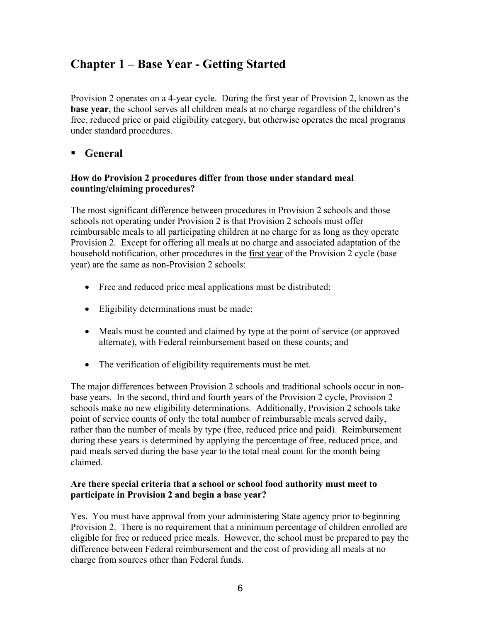# **Chapter 1 – Base Year - Getting Started**

Provision 2 operates on a 4-year cycle. During the first year of Provision 2, known as the **base year**, the school serves all children meals at no charge regardless of the children's free, reduced price or paid eligibility category, but otherwise operates the meal programs under standard procedures.

#### **General**

#### **How do Provision 2 procedures differ from those under standard meal counting/claiming procedures?**

The most significant difference between procedures in Provision 2 schools and those schools not operating under Provision 2 is that Provision 2 schools must offer reimbursable meals to all participating children at no charge for as long as they operate Provision 2. Except for offering all meals at no charge and associated adaptation of the household notification, other procedures in the first year of the Provision 2 cycle (base year) are the same as non-Provision 2 schools:

- Free and reduced price meal applications must be distributed;
- Eligibility determinations must be made;
- Meals must be counted and claimed by type at the point of service (or approved alternate), with Federal reimbursement based on these counts; and
- The verification of eligibility requirements must be met.

The major differences between Provision 2 schools and traditional schools occur in nonbase years. In the second, third and fourth years of the Provision 2 cycle, Provision 2 schools make no new eligibility determinations. Additionally, Provision 2 schools take point of service counts of only the total number of reimbursable meals served daily, rather than the number of meals by type (free, reduced price and paid). Reimbursement during these years is determined by applying the percentage of free, reduced price, and paid meals served during the base year to the total meal count for the month being claimed.

#### **Are there special criteria that a school or school food authority must meet to participate in Provision 2 and begin a base year?**

Yes. You must have approval from your administering State agency prior to beginning Provision 2. There is no requirement that a minimum percentage of children enrolled are eligible for free or reduced price meals. However, the school must be prepared to pay the difference between Federal reimbursement and the cost of providing all meals at no charge from sources other than Federal funds.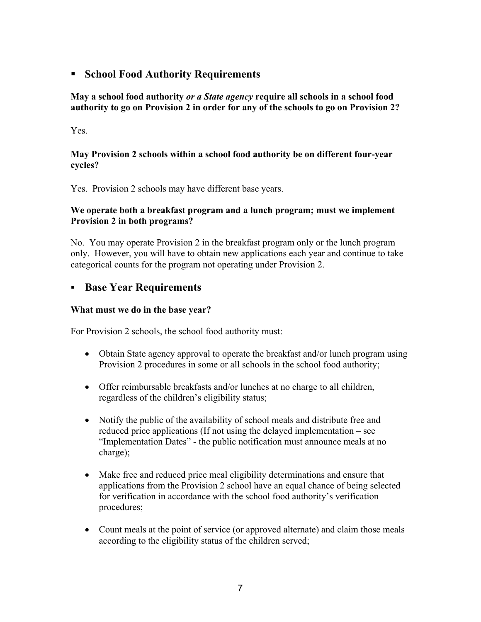#### **FILTER School Food Authority Requirements**

**May a school food authority** *or a State agency* **require all schools in a school food authority to go on Provision 2 in order for any of the schools to go on Provision 2?** 

#### Yes.

#### **May Provision 2 schools within a school food authority be on different four-year cycles?**

Yes. Provision 2 schools may have different base years.

#### **We operate both a breakfast program and a lunch program; must we implement Provision 2 in both programs?**

No. You may operate Provision 2 in the breakfast program only or the lunch program only. However, you will have to obtain new applications each year and continue to take categorical counts for the program not operating under Provision 2.

#### **Base Year Requirements**

#### **What must we do in the base year?**

For Provision 2 schools, the school food authority must:

- Obtain State agency approval to operate the breakfast and/or lunch program using Provision 2 procedures in some or all schools in the school food authority;
- Offer reimbursable breakfasts and/or lunches at no charge to all children, regardless of the children's eligibility status;
- Notify the public of the availability of school meals and distribute free and reduced price applications (If not using the delayed implementation – see "Implementation Dates" - the public notification must announce meals at no charge);
- Make free and reduced price meal eligibility determinations and ensure that applications from the Provision 2 school have an equal chance of being selected for verification in accordance with the school food authority's verification procedures;
- Count meals at the point of service (or approved alternate) and claim those meals according to the eligibility status of the children served;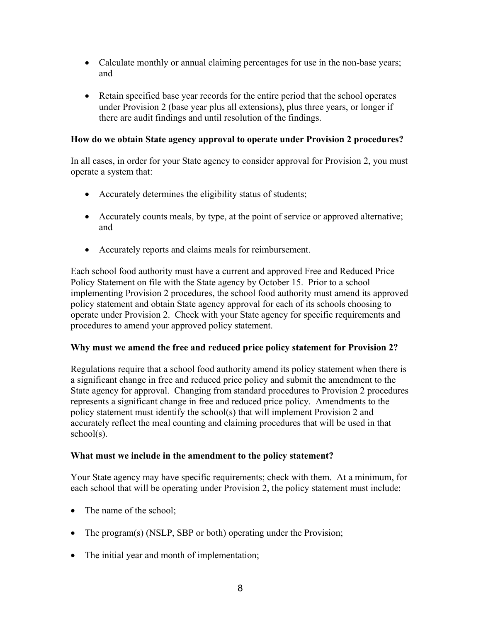- Calculate monthly or annual claiming percentages for use in the non-base years; and
- Retain specified base year records for the entire period that the school operates under Provision 2 (base year plus all extensions), plus three years, or longer if there are audit findings and until resolution of the findings.

#### **How do we obtain State agency approval to operate under Provision 2 procedures?**

In all cases, in order for your State agency to consider approval for Provision 2, you must operate a system that:

- Accurately determines the eligibility status of students;
- Accurately counts meals, by type, at the point of service or approved alternative; and
- Accurately reports and claims meals for reimbursement.

Each school food authority must have a current and approved Free and Reduced Price Policy Statement on file with the State agency by October 15. Prior to a school implementing Provision 2 procedures, the school food authority must amend its approved policy statement and obtain State agency approval for each of its schools choosing to operate under Provision 2. Check with your State agency for specific requirements and procedures to amend your approved policy statement.

#### **Why must we amend the free and reduced price policy statement for Provision 2?**

Regulations require that a school food authority amend its policy statement when there is a significant change in free and reduced price policy and submit the amendment to the State agency for approval.Changing from standard procedures to Provision 2 procedures represents a significant change in free and reduced price policy. Amendments to the policy statement must identify the school(s) that will implement Provision 2 and accurately reflect the meal counting and claiming procedures that will be used in that school(s).

#### **What must we include in the amendment to the policy statement?**

Your State agency may have specific requirements; check with them. At a minimum, for each school that will be operating under Provision 2, the policy statement must include:

- The name of the school:
- The program(s) (NSLP, SBP or both) operating under the Provision;
- The initial year and month of implementation;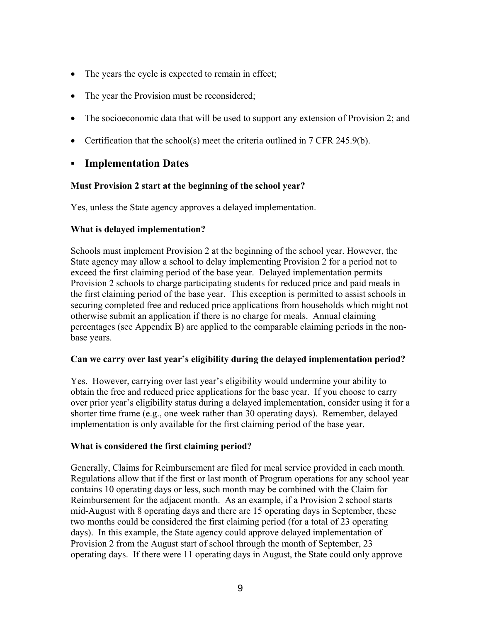- The years the cycle is expected to remain in effect;
- The year the Provision must be reconsidered;
- The socioeconomic data that will be used to support any extension of Provision 2; and
- Certification that the school(s) meet the criteria outlined in 7 CFR 245.9(b).

#### **Implementation Dates**

#### **Must Provision 2 start at the beginning of the school year?**

Yes, unless the State agency approves a delayed implementation.

#### **What is delayed implementation?**

Schools must implement Provision 2 at the beginning of the school year. However, the State agency may allow a school to delay implementing Provision 2 for a period not to exceed the first claiming period of the base year. Delayed implementation permits Provision 2 schools to charge participating students for reduced price and paid meals in the first claiming period of the base year. This exception is permitted to assist schools in securing completed free and reduced price applications from households which might not otherwise submit an application if there is no charge for meals. Annual claiming percentages (see Appendix B) are applied to the comparable claiming periods in the nonbase years.

#### **Can we carry over last year's eligibility during the delayed implementation period?**

Yes. However, carrying over last year's eligibility would undermine your ability to obtain the free and reduced price applications for the base year. If you choose to carry over prior year's eligibility status during a delayed implementation, consider using it for a shorter time frame (e.g., one week rather than 30 operating days). Remember, delayed implementation is only available for the first claiming period of the base year.

#### **What is considered the first claiming period?**

Generally, Claims for Reimbursement are filed for meal service provided in each month. Regulations allow that if the first or last month of Program operations for any school year contains 10 operating days or less, such month may be combined with the Claim for Reimbursement for the adjacent month. As an example, if a Provision 2 school starts mid-August with 8 operating days and there are 15 operating days in September, these two months could be considered the first claiming period (for a total of 23 operating days). In this example, the State agency could approve delayed implementation of Provision 2 from the August start of school through the month of September, 23 operating days. If there were 11 operating days in August, the State could only approve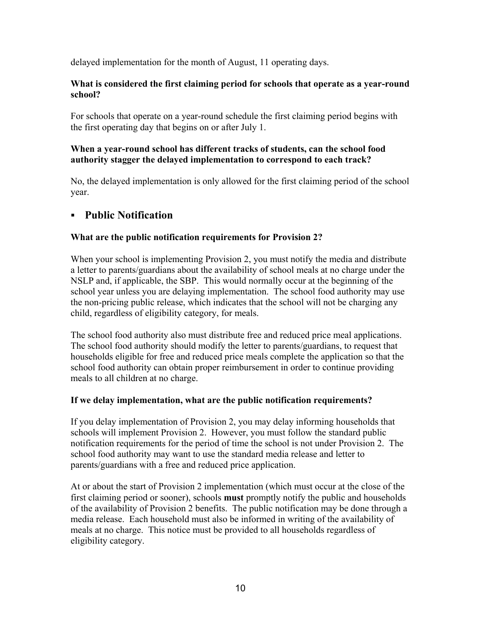delayed implementation for the month of August, 11 operating days.

#### **What is considered the first claiming period for schools that operate as a year-round school?**

For schools that operate on a year-round schedule the first claiming period begins with the first operating day that begins on or after July 1.

#### **When a year-round school has different tracks of students, can the school food authority stagger the delayed implementation to correspond to each track?**

No, the delayed implementation is only allowed for the first claiming period of the school year.

#### **Public Notification**

#### **What are the public notification requirements for Provision 2?**

When your school is implementing Provision 2, you must notify the media and distribute a letter to parents/guardians about the availability of school meals at no charge under the NSLP and, if applicable, the SBP. This would normally occur at the beginning of the school year unless you are delaying implementation. The school food authority may use the non-pricing public release, which indicates that the school will not be charging any child, regardless of eligibility category, for meals.

The school food authority also must distribute free and reduced price meal applications. The school food authority should modify the letter to parents/guardians, to request that households eligible for free and reduced price meals complete the application so that the school food authority can obtain proper reimbursement in order to continue providing meals to all children at no charge.

#### **If we delay implementation, what are the public notification requirements?**

If you delay implementation of Provision 2, you may delay informing households that schools will implement Provision 2. However, you must follow the standard public notification requirements for the period of time the school is not under Provision 2. The school food authority may want to use the standard media release and letter to parents/guardians with a free and reduced price application.

At or about the start of Provision 2 implementation (which must occur at the close of the first claiming period or sooner), schools **must** promptly notify the public and households of the availability of Provision 2 benefits. The public notification may be done through a media release. Each household must also be informed in writing of the availability of meals at no charge. This notice must be provided to all households regardless of eligibility category.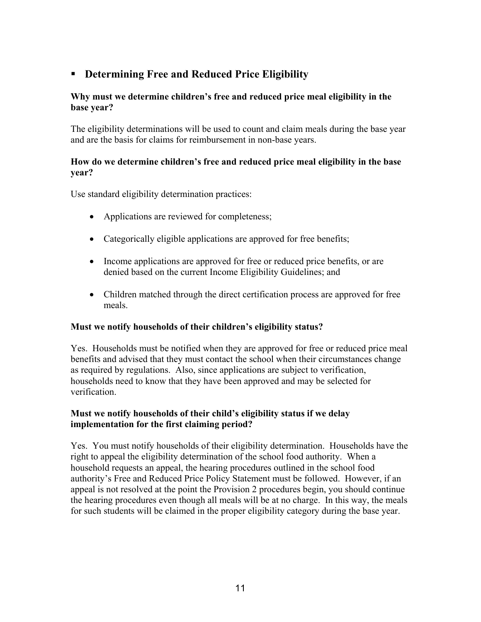#### **Determining Free and Reduced Price Eligibility**

#### **Why must we determine children's free and reduced price meal eligibility in the base year?**

The eligibility determinations will be used to count and claim meals during the base year and are the basis for claims for reimbursement in non-base years.

#### **How do we determine children's free and reduced price meal eligibility in the base year?**

Use standard eligibility determination practices:

- Applications are reviewed for completeness;
- Categorically eligible applications are approved for free benefits;
- Income applications are approved for free or reduced price benefits, or are denied based on the current Income Eligibility Guidelines; and
- Children matched through the direct certification process are approved for free meals.

#### **Must we notify households of their children's eligibility status?**

Yes. Households must be notified when they are approved for free or reduced price meal benefits and advised that they must contact the school when their circumstances change as required by regulations. Also, since applications are subject to verification, households need to know that they have been approved and may be selected for verification.

#### **Must we notify households of their child's eligibility status if we delay implementation for the first claiming period?**

Yes. You must notify households of their eligibility determination. Households have the right to appeal the eligibility determination of the school food authority. When a household requests an appeal, the hearing procedures outlined in the school food authority's Free and Reduced Price Policy Statement must be followed. However, if an appeal is not resolved at the point the Provision 2 procedures begin, you should continue the hearing procedures even though all meals will be at no charge. In this way, the meals for such students will be claimed in the proper eligibility category during the base year.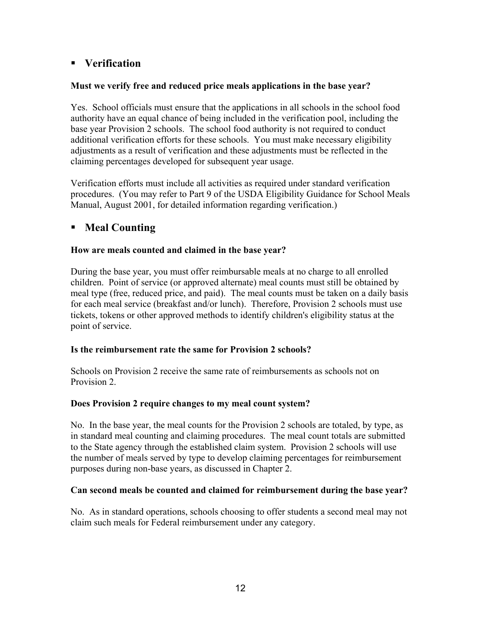#### **Verification**

#### **Must we verify free and reduced price meals applications in the base year?**

Yes. School officials must ensure that the applications in all schools in the school food authority have an equal chance of being included in the verification pool, including the base year Provision 2 schools. The school food authority is not required to conduct additional verification efforts for these schools. You must make necessary eligibility adjustments as a result of verification and these adjustments must be reflected in the claiming percentages developed for subsequent year usage.

Verification efforts must include all activities as required under standard verification procedures. (You may refer to Part 9 of the USDA Eligibility Guidance for School Meals Manual, August 2001, for detailed information regarding verification.)

#### **Meal Counting**

#### **How are meals counted and claimed in the base year?**

During the base year, you must offer reimbursable meals at no charge to all enrolled children. Point of service (or approved alternate) meal counts must still be obtained by meal type (free, reduced price, and paid). The meal counts must be taken on a daily basis for each meal service (breakfast and/or lunch). Therefore, Provision 2 schools must use tickets, tokens or other approved methods to identify children's eligibility status at the point of service.

#### **Is the reimbursement rate the same for Provision 2 schools?**

Schools on Provision 2 receive the same rate of reimbursements as schools not on Provision 2.

#### **Does Provision 2 require changes to my meal count system?**

No. In the base year, the meal counts for the Provision 2 schools are totaled, by type, as in standard meal counting and claiming procedures. The meal count totals are submitted to the State agency through the established claim system. Provision 2 schools will use the number of meals served by type to develop claiming percentages for reimbursement purposes during non-base years, as discussed in Chapter 2.

#### **Can second meals be counted and claimed for reimbursement during the base year?**

No. As in standard operations, schools choosing to offer students a second meal may not claim such meals for Federal reimbursement under any category.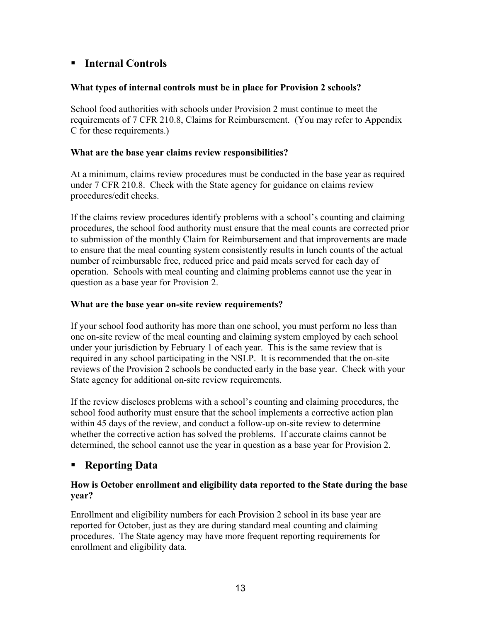#### **Internal Controls**

#### **What types of internal controls must be in place for Provision 2 schools?**

School food authorities with schools under Provision 2 must continue to meet the requirements of 7 CFR 210.8, Claims for Reimbursement. (You may refer to Appendix C for these requirements.)

#### **What are the base year claims review responsibilities?**

At a minimum, claims review procedures must be conducted in the base year as required under 7 CFR 210.8. Check with the State agency for guidance on claims review procedures/edit checks.

If the claims review procedures identify problems with a school's counting and claiming procedures, the school food authority must ensure that the meal counts are corrected prior to submission of the monthly Claim for Reimbursement and that improvements are made to ensure that the meal counting system consistently results in lunch counts of the actual number of reimbursable free, reduced price and paid meals served for each day of operation. Schools with meal counting and claiming problems cannot use the year in question as a base year for Provision 2.

#### **What are the base year on-site review requirements?**

If your school food authority has more than one school, you must perform no less than one on-site review of the meal counting and claiming system employed by each school under your jurisdiction by February 1 of each year. This is the same review that is required in any school participating in the NSLP. It is recommended that the on-site reviews of the Provision 2 schools be conducted early in the base year. Check with your State agency for additional on-site review requirements.

If the review discloses problems with a school's counting and claiming procedures, the school food authority must ensure that the school implements a corrective action plan within 45 days of the review, and conduct a follow-up on-site review to determine whether the corrective action has solved the problems. If accurate claims cannot be determined, the school cannot use the year in question as a base year for Provision 2.

#### **Reporting Data**

#### **How is October enrollment and eligibility data reported to the State during the base year?**

Enrollment and eligibility numbers for each Provision 2 school in its base year are reported for October, just as they are during standard meal counting and claiming procedures. The State agency may have more frequent reporting requirements for enrollment and eligibility data.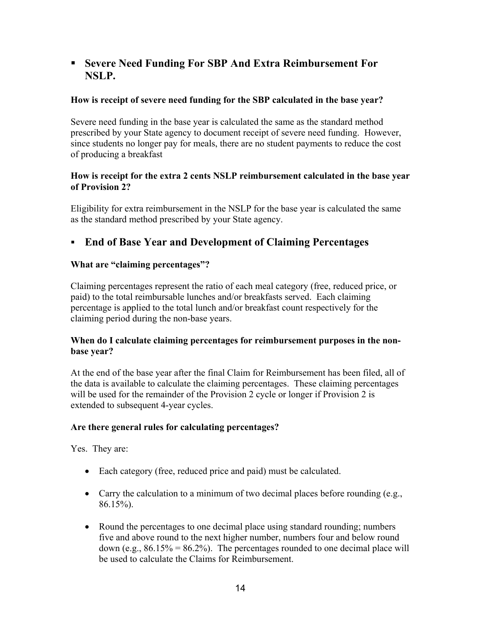#### **Severe Need Funding For SBP And Extra Reimbursement For NSLP.**

#### **How is receipt of severe need funding for the SBP calculated in the base year?**

Severe need funding in the base year is calculated the same as the standard method prescribed by your State agency to document receipt of severe need funding. However, since students no longer pay for meals, there are no student payments to reduce the cost of producing a breakfast

#### **How is receipt for the extra 2 cents NSLP reimbursement calculated in the base year of Provision 2?**

Eligibility for extra reimbursement in the NSLP for the base year is calculated the same as the standard method prescribed by your State agency.

#### **End of Base Year and Development of Claiming Percentages**

#### **What are "claiming percentages"?**

Claiming percentages represent the ratio of each meal category (free, reduced price, or paid) to the total reimbursable lunches and/or breakfasts served. Each claiming percentage is applied to the total lunch and/or breakfast count respectively for the claiming period during the non-base years.

#### **When do I calculate claiming percentages for reimbursement purposes in the nonbase year?**

At the end of the base year after the final Claim for Reimbursement has been filed, all of the data is available to calculate the claiming percentages. These claiming percentages will be used for the remainder of the Provision 2 cycle or longer if Provision 2 is extended to subsequent 4-year cycles.

#### **Are there general rules for calculating percentages?**

Yes. They are:

- Each category (free, reduced price and paid) must be calculated.
- Carry the calculation to a minimum of two decimal places before rounding (e.g., 86.15%).
- Round the percentages to one decimal place using standard rounding; numbers five and above round to the next higher number, numbers four and below round down (e.g.,  $86.15\% = 86.2\%$ ). The percentages rounded to one decimal place will be used to calculate the Claims for Reimbursement.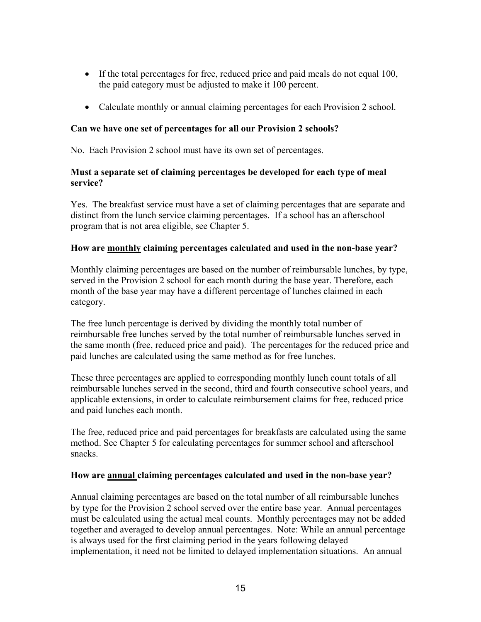- If the total percentages for free, reduced price and paid meals do not equal 100, the paid category must be adjusted to make it 100 percent.
- Calculate monthly or annual claiming percentages for each Provision 2 school.

#### **Can we have one set of percentages for all our Provision 2 schools?**

No. Each Provision 2 school must have its own set of percentages.

#### **Must a separate set of claiming percentages be developed for each type of meal service?**

Yes. The breakfast service must have a set of claiming percentages that are separate and distinct from the lunch service claiming percentages. If a school has an afterschool program that is not area eligible, see Chapter 5.

#### **How are monthly claiming percentages calculated and used in the non-base year?**

Monthly claiming percentages are based on the number of reimbursable lunches, by type, served in the Provision 2 school for each month during the base year. Therefore, each month of the base year may have a different percentage of lunches claimed in each category.

The free lunch percentage is derived by dividing the monthly total number of reimbursable free lunches served by the total number of reimbursable lunches served in the same month (free, reduced price and paid). The percentages for the reduced price and paid lunches are calculated using the same method as for free lunches.

These three percentages are applied to corresponding monthly lunch count totals of all reimbursable lunches served in the second, third and fourth consecutive school years, and applicable extensions, in order to calculate reimbursement claims for free, reduced price and paid lunches each month.

The free, reduced price and paid percentages for breakfasts are calculated using the same method. See Chapter 5 for calculating percentages for summer school and afterschool snacks.

#### **How are annual claiming percentages calculated and used in the non-base year?**

Annual claiming percentages are based on the total number of all reimbursable lunches by type for the Provision 2 school served over the entire base year. Annual percentages must be calculated using the actual meal counts. Monthly percentages may not be added together and averaged to develop annual percentages. Note: While an annual percentage is always used for the first claiming period in the years following delayed implementation, it need not be limited to delayed implementation situations. An annual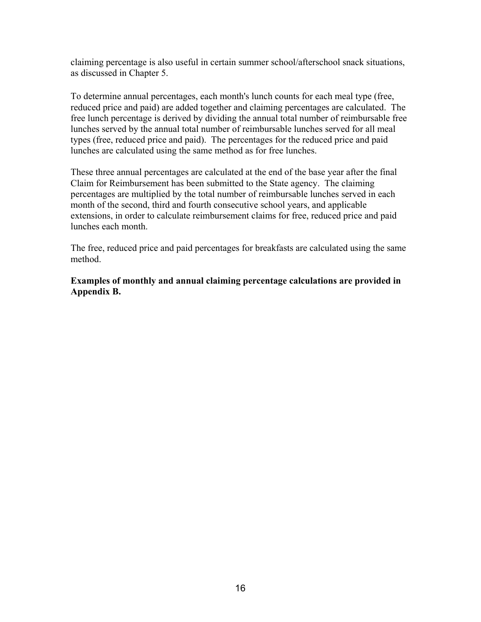claiming percentage is also useful in certain summer school/afterschool snack situations, as discussed in Chapter 5.

To determine annual percentages, each month's lunch counts for each meal type (free, reduced price and paid) are added together and claiming percentages are calculated. The free lunch percentage is derived by dividing the annual total number of reimbursable free lunches served by the annual total number of reimbursable lunches served for all meal types (free, reduced price and paid). The percentages for the reduced price and paid lunches are calculated using the same method as for free lunches.

These three annual percentages are calculated at the end of the base year after the final Claim for Reimbursement has been submitted to the State agency. The claiming percentages are multiplied by the total number of reimbursable lunches served in each month of the second, third and fourth consecutive school years, and applicable extensions, in order to calculate reimbursement claims for free, reduced price and paid lunches each month.

The free, reduced price and paid percentages for breakfasts are calculated using the same method.

**Examples of monthly and annual claiming percentage calculations are provided in Appendix B.**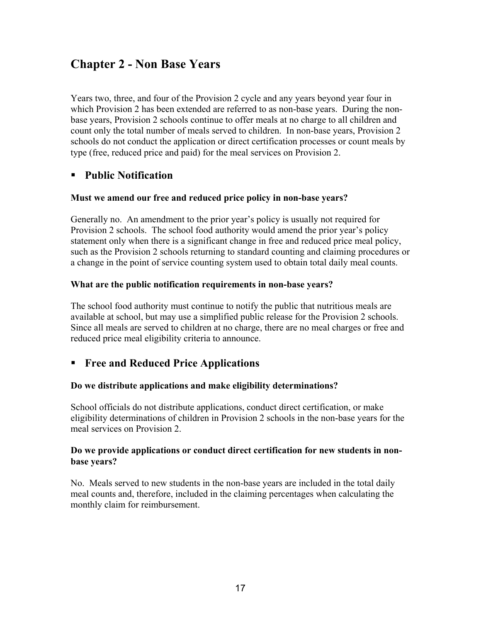# **Chapter 2 - Non Base Years**

Years two, three, and four of the Provision 2 cycle and any years beyond year four in which Provision 2 has been extended are referred to as non-base years. During the nonbase years, Provision 2 schools continue to offer meals at no charge to all children and count only the total number of meals served to children. In non-base years, Provision 2 schools do not conduct the application or direct certification processes or count meals by type (free, reduced price and paid) for the meal services on Provision 2.

#### **Public Notification**

#### **Must we amend our free and reduced price policy in non-base years?**

Generally no. An amendment to the prior year's policy is usually not required for Provision 2 schools. The school food authority would amend the prior year's policy statement only when there is a significant change in free and reduced price meal policy, such as the Provision 2 schools returning to standard counting and claiming procedures or a change in the point of service counting system used to obtain total daily meal counts.

#### **What are the public notification requirements in non-base years?**

The school food authority must continue to notify the public that nutritious meals are available at school, but may use a simplified public release for the Provision 2 schools. Since all meals are served to children at no charge, there are no meal charges or free and reduced price meal eligibility criteria to announce.

#### **Free and Reduced Price Applications**

#### **Do we distribute applications and make eligibility determinations?**

School officials do not distribute applications, conduct direct certification, or make eligibility determinations of children in Provision 2 schools in the non-base years for the meal services on Provision 2.

#### **Do we provide applications or conduct direct certification for new students in nonbase years?**

No. Meals served to new students in the non-base years are included in the total daily meal counts and, therefore, included in the claiming percentages when calculating the monthly claim for reimbursement.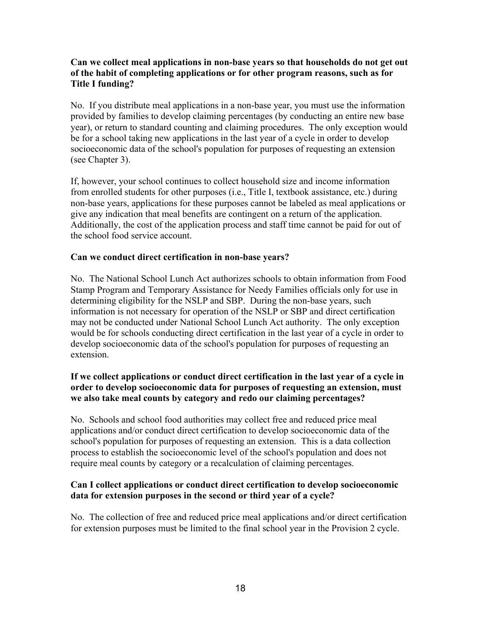#### **Can we collect meal applications in non-base years so that households do not get out of the habit of completing applications or for other program reasons, such as for Title I funding?**

No. If you distribute meal applications in a non-base year, you must use the information provided by families to develop claiming percentages (by conducting an entire new base year), or return to standard counting and claiming procedures. The only exception would be for a school taking new applications in the last year of a cycle in order to develop socioeconomic data of the school's population for purposes of requesting an extension (see Chapter 3).

If, however, your school continues to collect household size and income information from enrolled students for other purposes (i.e., Title I, textbook assistance, etc.) during non-base years, applications for these purposes cannot be labeled as meal applications or give any indication that meal benefits are contingent on a return of the application. Additionally, the cost of the application process and staff time cannot be paid for out of the school food service account.

#### **Can we conduct direct certification in non-base years?**

No. The National School Lunch Act authorizes schools to obtain information from Food Stamp Program and Temporary Assistance for Needy Families officials only for use in determining eligibility for the NSLP and SBP. During the non-base years, such information is not necessary for operation of the NSLP or SBP and direct certification may not be conducted under National School Lunch Act authority. The only exception would be for schools conducting direct certification in the last year of a cycle in order to develop socioeconomic data of the school's population for purposes of requesting an extension.

#### **If we collect applications or conduct direct certification in the last year of a cycle in order to develop socioeconomic data for purposes of requesting an extension, must we also take meal counts by category and redo our claiming percentages?**

No. Schools and school food authorities may collect free and reduced price meal applications and/or conduct direct certification to develop socioeconomic data of the school's population for purposes of requesting an extension. This is a data collection process to establish the socioeconomic level of the school's population and does not require meal counts by category or a recalculation of claiming percentages.

#### **Can I collect applications or conduct direct certification to develop socioeconomic data for extension purposes in the second or third year of a cycle?**

No. The collection of free and reduced price meal applications and/or direct certification for extension purposes must be limited to the final school year in the Provision 2 cycle.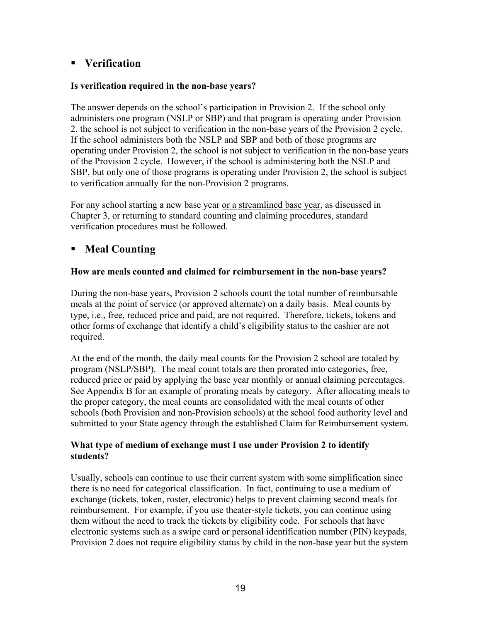#### **Verification**

#### **Is verification required in the non-base years?**

The answer depends on the school's participation in Provision 2. If the school only administers one program (NSLP or SBP) and that program is operating under Provision 2, the school is not subject to verification in the non-base years of the Provision 2 cycle. If the school administers both the NSLP and SBP and both of those programs are operating under Provision 2, the school is not subject to verification in the non-base years of the Provision 2 cycle. However, if the school is administering both the NSLP and SBP, but only one of those programs is operating under Provision 2, the school is subject to verification annually for the non-Provision 2 programs.

For any school starting a new base year or a streamlined base year, as discussed in Chapter 3, or returning to standard counting and claiming procedures, standard verification procedures must be followed.

#### **Meal Counting**

#### **How are meals counted and claimed for reimbursement in the non-base years?**

During the non-base years, Provision 2 schools count the total number of reimbursable meals at the point of service (or approved alternate) on a daily basis. Meal counts by type, i.e., free, reduced price and paid, are not required. Therefore, tickets, tokens and other forms of exchange that identify a child's eligibility status to the cashier are not required.

At the end of the month, the daily meal counts for the Provision 2 school are totaled by program (NSLP/SBP). The meal count totals are then prorated into categories, free, reduced price or paid by applying the base year monthly or annual claiming percentages. See Appendix B for an example of prorating meals by category. After allocating meals to the proper category, the meal counts are consolidated with the meal counts of other schools (both Provision and non-Provision schools) at the school food authority level and submitted to your State agency through the established Claim for Reimbursement system.

#### **What type of medium of exchange must I use under Provision 2 to identify students?**

Usually, schools can continue to use their current system with some simplification since there is no need for categorical classification. In fact, continuing to use a medium of exchange (tickets, token, roster, electronic) helps to prevent claiming second meals for reimbursement. For example, if you use theater-style tickets, you can continue using them without the need to track the tickets by eligibility code. For schools that have electronic systems such as a swipe card or personal identification number (PIN) keypads, Provision 2 does not require eligibility status by child in the non-base year but the system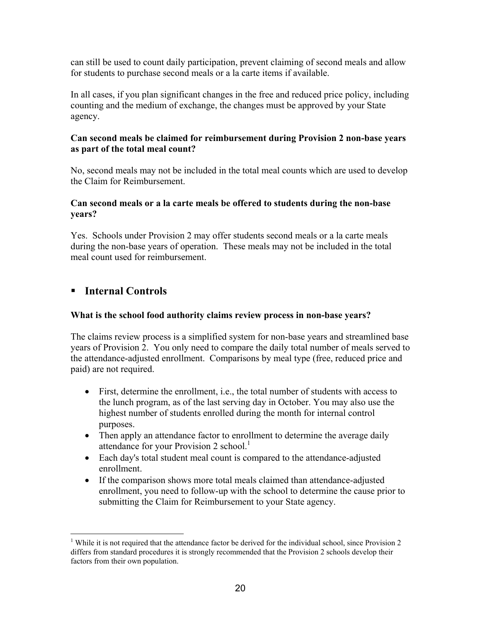can still be used to count daily participation, prevent claiming of second meals and allow for students to purchase second meals or a la carte items if available.

In all cases, if you plan significant changes in the free and reduced price policy, including counting and the medium of exchange, the changes must be approved by your State agency.

#### **Can second meals be claimed for reimbursement during Provision 2 non-base years as part of the total meal count?**

No, second meals may not be included in the total meal counts which are used to develop the Claim for Reimbursement.

#### **Can second meals or a la carte meals be offered to students during the non-base years?**

Yes. Schools under Provision 2 may offer students second meals or a la carte meals during the non-base years of operation. These meals may not be included in the total meal count used for reimbursement.

#### **Internal Controls**

 $\overline{a}$ 

#### **What is the school food authority claims review process in non-base years?**

The claims review process is a simplified system for non-base years and streamlined base years of Provision 2. You only need to compare the daily total number of meals served to the attendance-adjusted enrollment. Comparisons by meal type (free, reduced price and paid) are not required.

- First, determine the enrollment, i.e., the total number of students with access to the lunch program, as of the last serving day in October. You may also use the highest number of students enrolled during the month for internal control purposes.
- Then apply an attendance factor to enrollment to determine the average daily attendance for your Provision 2 school.<sup>[1](#page-19-0)</sup>
- Each day's total student meal count is compared to the attendance-adjusted enrollment.
- If the comparison shows more total meals claimed than attendance-adjusted enrollment, you need to follow-up with the school to determine the cause prior to submitting the Claim for Reimbursement to your State agency.

<span id="page-19-0"></span><sup>&</sup>lt;sup>1</sup> While it is not required that the attendance factor be derived for the individual school, since Provision 2 differs from standard procedures it is strongly recommended that the Provision 2 schools develop their factors from their own population.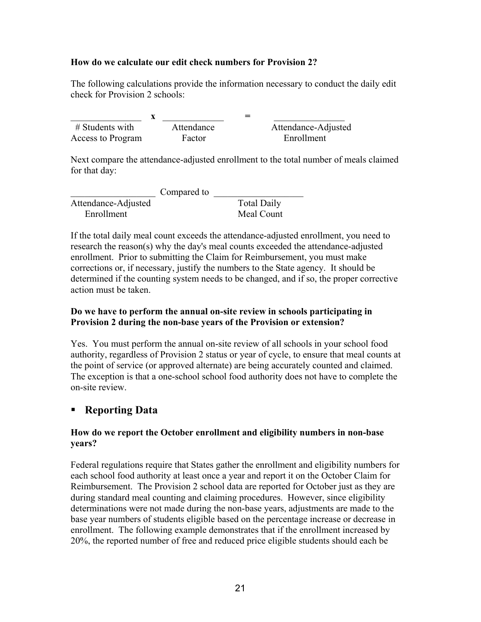#### **How do we calculate our edit check numbers for Provision 2?**

The following calculations provide the information necessary to conduct the daily edit check for Provision 2 schools:

 $X =$  # Students with Attendance Attendance-Adjusted Access to Program Factor Factor Enrollment

Next compare the attendance-adjusted enrollment to the total number of meals claimed for that day:

|                     | Compared to |                    |
|---------------------|-------------|--------------------|
| Attendance-Adjusted |             | <b>Total Daily</b> |
| Enrollment          |             | Meal Count         |

If the total daily meal count exceeds the attendance-adjusted enrollment, you need to research the reason(s) why the day's meal counts exceeded the attendance-adjusted enrollment. Prior to submitting the Claim for Reimbursement, you must make corrections or, if necessary, justify the numbers to the State agency. It should be determined if the counting system needs to be changed, and if so, the proper corrective action must be taken.

#### **Do we have to perform the annual on-site review in schools participating in Provision 2 during the non-base years of the Provision or extension?**

Yes. You must perform the annual on-site review of all schools in your school food authority, regardless of Provision 2 status or year of cycle, to ensure that meal counts at the point of service (or approved alternate) are being accurately counted and claimed. The exception is that a one-school school food authority does not have to complete the on-site review.

#### **Reporting Data**

#### **How do we report the October enrollment and eligibility numbers in non-base years?**

Federal regulations require that States gather the enrollment and eligibility numbers for each school food authority at least once a year and report it on the October Claim for Reimbursement. The Provision 2 school data are reported for October just as they are during standard meal counting and claiming procedures. However, since eligibility determinations were not made during the non-base years, adjustments are made to the base year numbers of students eligible based on the percentage increase or decrease in enrollment. The following example demonstrates that if the enrollment increased by 20%, the reported number of free and reduced price eligible students should each be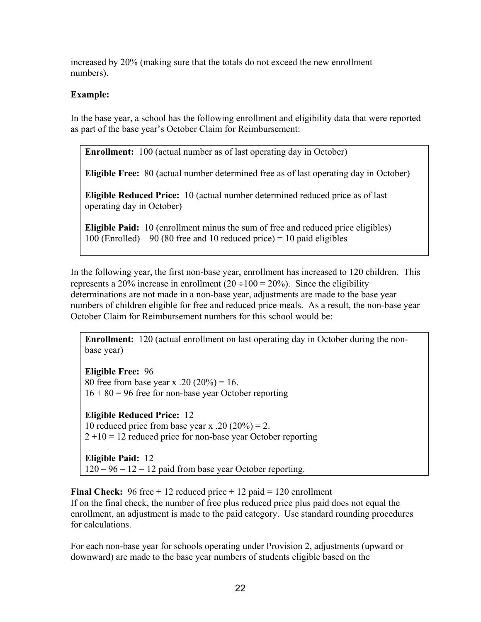increased by 20% (making sure that the totals do not exceed the new enrollment numbers).

#### **Example:**

In the base year, a school has the following enrollment and eligibility data that were reported as part of the base year's October Claim for Reimbursement:

**Enrollment:** 100 (actual number as of last operating day in October)

**Eligible Free:** 80 (actual number determined free as of last operating day in October)

**Eligible Reduced Price:** 10 (actual number determined reduced price as of last operating day in October)

**Eligible Paid:** 10 (enrollment minus the sum of free and reduced price eligibles)  $100$  (Enrolled) – 90 (80 free and 10 reduced price) = 10 paid eligibles

In the following year, the first non-base year, enrollment has increased to 120 children. This represents a 20% increase in enrollment  $(20 \div 100 = 20\%)$ . Since the eligibility determinations are not made in a non-base year, adjustments are made to the base year numbers of children eligible for free and reduced price meals. As a result, the non-base year October Claim for Reimbursement numbers for this school would be:

**Enrollment:** 120 (actual enrollment on last operating day in October during the nonbase year)

**Eligible Free:** 96 80 free from base year x .20  $(20\%) = 16$ .  $16 + 80 = 96$  free for non-base year October reporting

**Eligible Reduced Price:** 12 10 reduced price from base year x .20  $(20\%) = 2$ .  $2 + 10 = 12$  reduced price for non-base year October reporting

**Eligible Paid:** 12  $120 - 96 - 12 = 12$  paid from base year October reporting.

**Final Check:** 96 free + 12 reduced price + 12 paid = 120 enrollment If on the final check, the number of free plus reduced price plus paid does not equal the enrollment, an adjustment is made to the paid category. Use standard rounding procedures for calculations.

For each non-base year for schools operating under Provision 2, adjustments (upward or downward) are made to the base year numbers of students eligible based on the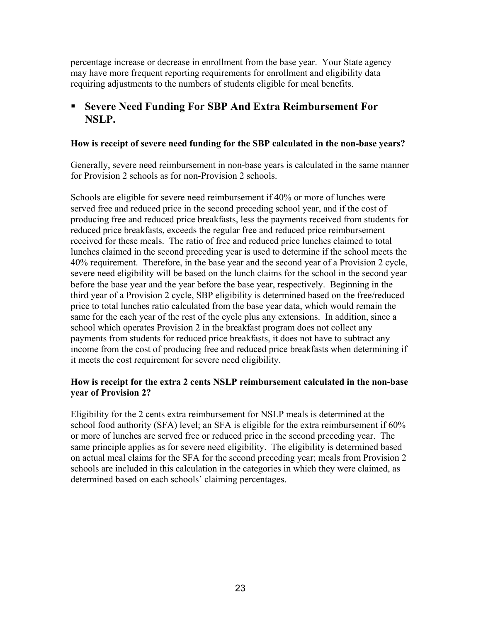percentage increase or decrease in enrollment from the base year. Your State agency may have more frequent reporting requirements for enrollment and eligibility data requiring adjustments to the numbers of students eligible for meal benefits.

#### **Severe Need Funding For SBP And Extra Reimbursement For NSLP.**

#### **How is receipt of severe need funding for the SBP calculated in the non-base years?**

Generally, severe need reimbursement in non-base years is calculated in the same manner for Provision 2 schools as for non-Provision 2 schools.

Schools are eligible for severe need reimbursement if 40% or more of lunches were served free and reduced price in the second preceding school year, and if the cost of producing free and reduced price breakfasts, less the payments received from students for reduced price breakfasts, exceeds the regular free and reduced price reimbursement received for these meals. The ratio of free and reduced price lunches claimed to total lunches claimed in the second preceding year is used to determine if the school meets the 40% requirement. Therefore, in the base year and the second year of a Provision 2 cycle, severe need eligibility will be based on the lunch claims for the school in the second year before the base year and the year before the base year, respectively. Beginning in the third year of a Provision 2 cycle, SBP eligibility is determined based on the free/reduced price to total lunches ratio calculated from the base year data, which would remain the same for the each year of the rest of the cycle plus any extensions. In addition, since a school which operates Provision 2 in the breakfast program does not collect any payments from students for reduced price breakfasts, it does not have to subtract any income from the cost of producing free and reduced price breakfasts when determining if it meets the cost requirement for severe need eligibility.

#### **How is receipt for the extra 2 cents NSLP reimbursement calculated in the non-base year of Provision 2?**

Eligibility for the 2 cents extra reimbursement for NSLP meals is determined at the school food authority (SFA) level; an SFA is eligible for the extra reimbursement if 60% or more of lunches are served free or reduced price in the second preceding year. The same principle applies as for severe need eligibility. The eligibility is determined based on actual meal claims for the SFA for the second preceding year; meals from Provision 2 schools are included in this calculation in the categories in which they were claimed, as determined based on each schools' claiming percentages.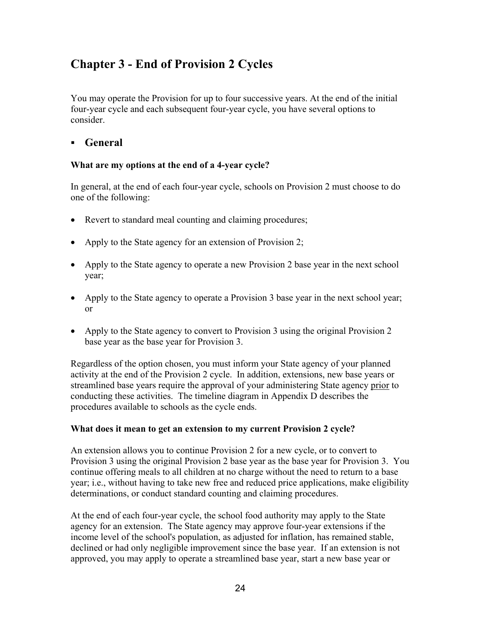# **Chapter 3 - End of Provision 2 Cycles**

You may operate the Provision for up to four successive years. At the end of the initial four-year cycle and each subsequent four-year cycle, you have several options to consider.

#### **General**

#### **What are my options at the end of a 4-year cycle?**

In general, at the end of each four-year cycle, schools on Provision 2 must choose to do one of the following:

- Revert to standard meal counting and claiming procedures;
- Apply to the State agency for an extension of Provision 2;
- Apply to the State agency to operate a new Provision 2 base year in the next school year;
- Apply to the State agency to operate a Provision 3 base year in the next school year; or
- Apply to the State agency to convert to Provision 3 using the original Provision 2 base year as the base year for Provision 3.

Regardless of the option chosen, you must inform your State agency of your planned activity at the end of the Provision 2 cycle. In addition, extensions, new base years or streamlined base years require the approval of your administering State agency prior to conducting these activities. The timeline diagram in Appendix D describes the procedures available to schools as the cycle ends.

#### **What does it mean to get an extension to my current Provision 2 cycle?**

An extension allows you to continue Provision 2 for a new cycle, or to convert to Provision 3 using the original Provision 2 base year as the base year for Provision 3. You continue offering meals to all children at no charge without the need to return to a base year; i.e., without having to take new free and reduced price applications, make eligibility determinations, or conduct standard counting and claiming procedures.

At the end of each four-year cycle, the school food authority may apply to the State agency for an extension. The State agency may approve four-year extensions if the income level of the school's population, as adjusted for inflation, has remained stable, declined or had only negligible improvement since the base year. If an extension is not approved, you may apply to operate a streamlined base year, start a new base year or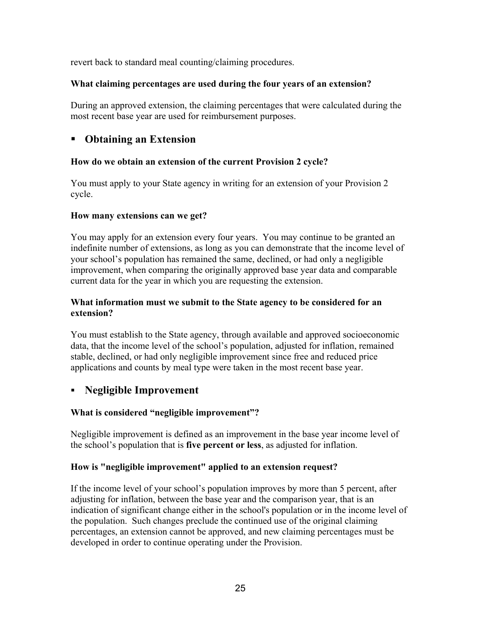revert back to standard meal counting/claiming procedures.

#### **What claiming percentages are used during the four years of an extension?**

During an approved extension, the claiming percentages that were calculated during the most recent base year are used for reimbursement purposes.

#### **Obtaining an Extension**

#### **How do we obtain an extension of the current Provision 2 cycle?**

You must apply to your State agency in writing for an extension of your Provision 2 cycle.

#### **How many extensions can we get?**

You may apply for an extension every four years. You may continue to be granted an indefinite number of extensions, as long as you can demonstrate that the income level of your school's population has remained the same, declined, or had only a negligible improvement, when comparing the originally approved base year data and comparable current data for the year in which you are requesting the extension.

#### **What information must we submit to the State agency to be considered for an extension?**

You must establish to the State agency, through available and approved socioeconomic data, that the income level of the school's population, adjusted for inflation, remained stable, declined, or had only negligible improvement since free and reduced price applications and counts by meal type were taken in the most recent base year.

#### **Negligible Improvement**

#### **What is considered "negligible improvement"?**

Negligible improvement is defined as an improvement in the base year income level of the school's population that is **five percent or less**, as adjusted for inflation.

#### **How is "negligible improvement" applied to an extension request?**

If the income level of your school's population improves by more than 5 percent, after adjusting for inflation, between the base year and the comparison year, that is an indication of significant change either in the school's population or in the income level of the population. Such changes preclude the continued use of the original claiming percentages, an extension cannot be approved, and new claiming percentages must be developed in order to continue operating under the Provision.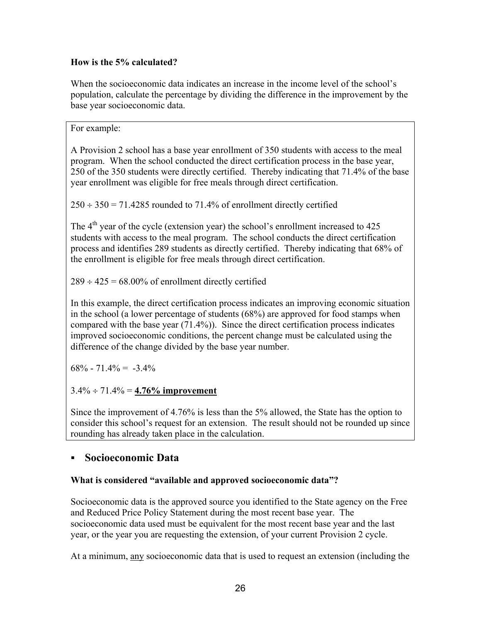#### **How is the 5% calculated?**

When the socioeconomic data indicates an increase in the income level of the school's population, calculate the percentage by dividing the difference in the improvement by the base year socioeconomic data.

For example:

A Provision 2 school has a base year enrollment of 350 students with access to the meal program. When the school conducted the direct certification process in the base year, 250 of the 350 students were directly certified. Thereby indicating that 71.4% of the base year enrollment was eligible for free meals through direct certification.

 $250 \div 350 = 71.4285$  rounded to 71.4% of enrollment directly certified

The  $4<sup>th</sup>$  year of the cycle (extension year) the school's enrollment increased to 425 students with access to the meal program. The school conducts the direct certification process and identifies 289 students as directly certified. Thereby indicating that 68% of the enrollment is eligible for free meals through direct certification.

 $289 \div 425 = 68.00\%$  of enrollment directly certified

In this example, the direct certification process indicates an improving economic situation in the school (a lower percentage of students (68%) are approved for food stamps when compared with the base year (71.4%)). Since the direct certification process indicates improved socioeconomic conditions, the percent change must be calculated using the difference of the change divided by the base year number.

 $68\% - 71.4\% = -3.4\%$ 

3.4% ÷ 71.4% = **4.76% improvement**

Since the improvement of 4.76% is less than the 5% allowed, the State has the option to consider this school's request for an extension. The result should not be rounded up since rounding has already taken place in the calculation.

#### **Socioeconomic Data**

#### **What is considered "available and approved socioeconomic data"?**

Socioeconomic data is the approved source you identified to the State agency on the Free and Reduced Price Policy Statement during the most recent base year. The socioeconomic data used must be equivalent for the most recent base year and the last year, or the year you are requesting the extension, of your current Provision 2 cycle.

At a minimum, any socioeconomic data that is used to request an extension (including the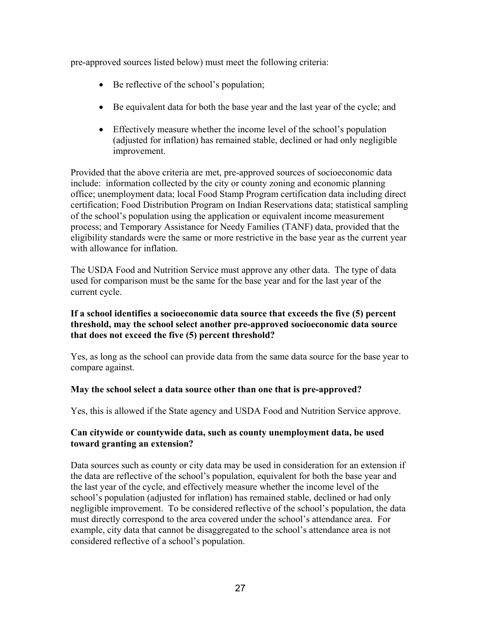pre-approved sources listed below) must meet the following criteria:

- Be reflective of the school's population;
- Be equivalent data for both the base year and the last year of the cycle; and
- Effectively measure whether the income level of the school's population (adjusted for inflation) has remained stable, declined or had only negligible improvement.

Provided that the above criteria are met, pre-approved sources of socioeconomic data include: information collected by the city or county zoning and economic planning office; unemployment data; local Food Stamp Program certification data including direct certification; Food Distribution Program on Indian Reservations data; statistical sampling of the school's population using the application or equivalent income measurement process; and Temporary Assistance for Needy Families (TANF) data, provided that the eligibility standards were the same or more restrictive in the base year as the current year with allowance for inflation

The USDA Food and Nutrition Service must approve any other data. The type of data used for comparison must be the same for the base year and for the last year of the current cycle.

#### **If a school identifies a socioeconomic data source that exceeds the five (5) percent threshold, may the school select another pre-approved socioeconomic data source that does not exceed the five (5) percent threshold?**

Yes, as long as the school can provide data from the same data source for the base year to compare against.

#### **May the school select a data source other than one that is pre-approved?**

Yes, this is allowed if the State agency and USDA Food and Nutrition Service approve.

#### **Can citywide or countywide data, such as county unemployment data, be used toward granting an extension?**

Data sources such as county or city data may be used in consideration for an extension if the data are reflective of the school's population, equivalent for both the base year and the last year of the cycle, and effectively measure whether the income level of the school's population (adjusted for inflation) has remained stable, declined or had only negligible improvement. To be considered reflective of the school's population, the data must directly correspond to the area covered under the school's attendance area. For example, city data that cannot be disaggregated to the school's attendance area is not considered reflective of a school's population.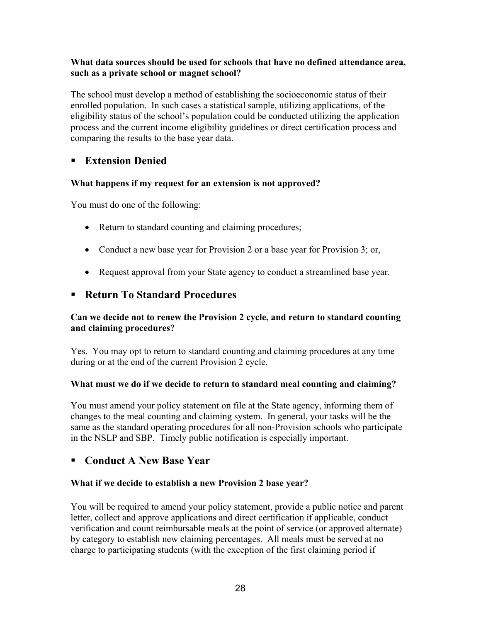#### **What data sources should be used for schools that have no defined attendance area, such as a private school or magnet school?**

The school must develop a method of establishing the socioeconomic status of their enrolled population. In such cases a statistical sample, utilizing applications, of the eligibility status of the school's population could be conducted utilizing the application process and the current income eligibility guidelines or direct certification process and comparing the results to the base year data.

#### **Extension Denied**

#### **What happens if my request for an extension is not approved?**

You must do one of the following:

- Return to standard counting and claiming procedures;
- Conduct a new base year for Provision 2 or a base year for Provision 3; or,
- Request approval from your State agency to conduct a streamlined base year.

#### **Return To Standard Procedures**

#### **Can we decide not to renew the Provision 2 cycle, and return to standard counting and claiming procedures?**

Yes. You may opt to return to standard counting and claiming procedures at any time during or at the end of the current Provision 2 cycle.

#### **What must we do if we decide to return to standard meal counting and claiming?**

You must amend your policy statement on file at the State agency, informing them of changes to the meal counting and claiming system. In general, your tasks will be the same as the standard operating procedures for all non-Provision schools who participate in the NSLP and SBP. Timely public notification is especially important.

#### **Conduct A New Base Year**

#### **What if we decide to establish a new Provision 2 base year?**

You will be required to amend your policy statement, provide a public notice and parent letter, collect and approve applications and direct certification if applicable, conduct verification and count reimbursable meals at the point of service (or approved alternate) by category to establish new claiming percentages. All meals must be served at no charge to participating students (with the exception of the first claiming period if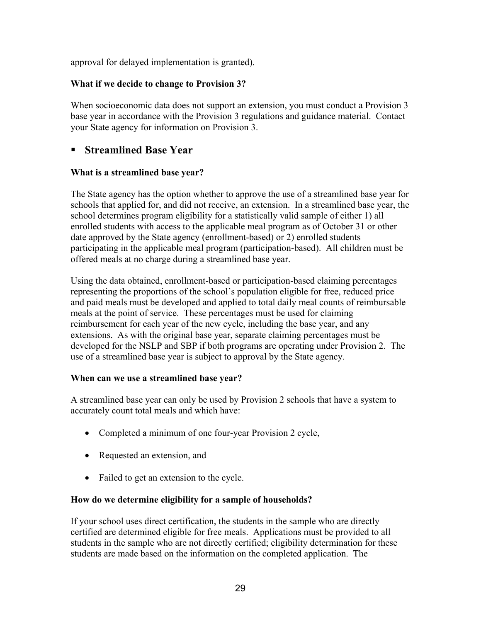approval for delayed implementation is granted).

#### **What if we decide to change to Provision 3?**

When socioeconomic data does not support an extension, you must conduct a Provision 3 base year in accordance with the Provision 3 regulations and guidance material. Contact your State agency for information on Provision 3.

#### **Streamlined Base Year**

#### **What is a streamlined base year?**

The State agency has the option whether to approve the use of a streamlined base year for schools that applied for, and did not receive, an extension. In a streamlined base year, the school determines program eligibility for a statistically valid sample of either 1) all enrolled students with access to the applicable meal program as of October 31 or other date approved by the State agency (enrollment-based) or 2) enrolled students participating in the applicable meal program (participation-based). All children must be offered meals at no charge during a streamlined base year.

Using the data obtained, enrollment-based or participation-based claiming percentages representing the proportions of the school's population eligible for free, reduced price and paid meals must be developed and applied to total daily meal counts of reimbursable meals at the point of service. These percentages must be used for claiming reimbursement for each year of the new cycle, including the base year, and any extensions. As with the original base year, separate claiming percentages must be developed for the NSLP and SBP if both programs are operating under Provision 2. The use of a streamlined base year is subject to approval by the State agency.

#### **When can we use a streamlined base year?**

A streamlined base year can only be used by Provision 2 schools that have a system to accurately count total meals and which have:

- Completed a minimum of one four-year Provision 2 cycle,
- Requested an extension, and
- Failed to get an extension to the cycle.

#### **How do we determine eligibility for a sample of households?**

If your school uses direct certification, the students in the sample who are directly certified are determined eligible for free meals. Applications must be provided to all students in the sample who are not directly certified; eligibility determination for these students are made based on the information on the completed application. The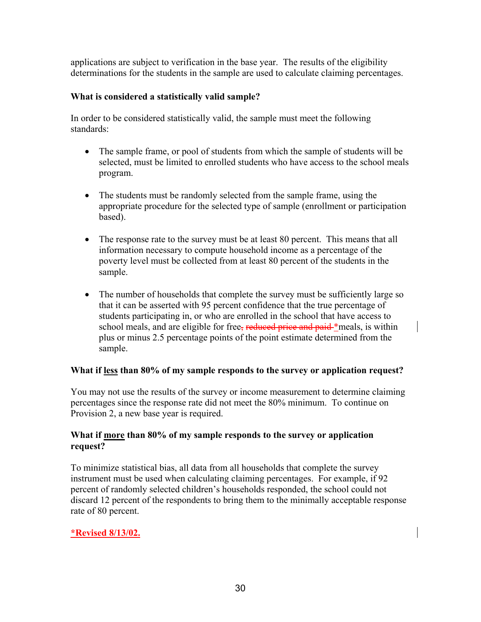applications are subject to verification in the base year. The results of the eligibility determinations for the students in the sample are used to calculate claiming percentages.

#### **What is considered a statistically valid sample?**

In order to be considered statistically valid, the sample must meet the following standards:

- The sample frame, or pool of students from which the sample of students will be selected, must be limited to enrolled students who have access to the school meals program.
- The students must be randomly selected from the sample frame, using the appropriate procedure for the selected type of sample (enrollment or participation based).
- The response rate to the survey must be at least 80 percent. This means that all information necessary to compute household income as a percentage of the poverty level must be collected from at least 80 percent of the students in the sample.
- The number of households that complete the survey must be sufficiently large so that it can be asserted with 95 percent confidence that the true percentage of students participating in, or who are enrolled in the school that have access to school meals, and are eligible for free, reduced price and paid \*meals, is within plus or minus 2.5 percentage points of the point estimate determined from the sample.

#### **What if less than 80% of my sample responds to the survey or application request?**

You may not use the results of the survey or income measurement to determine claiming percentages since the response rate did not meet the 80% minimum. To continue on Provision 2, a new base year is required.

#### **What if more than 80% of my sample responds to the survey or application request?**

To minimize statistical bias, all data from all households that complete the survey instrument must be used when calculating claiming percentages. For example, if 92 percent of randomly selected children's households responded, the school could not discard 12 percent of the respondents to bring them to the minimally acceptable response rate of 80 percent.

#### **\*Revised 8/13/02.**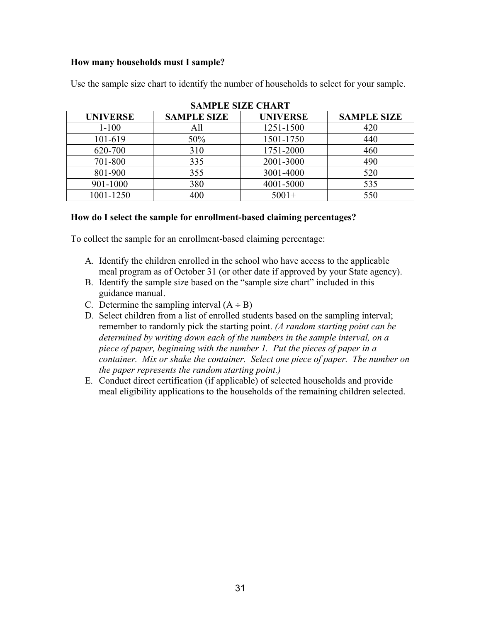#### **How many households must I sample?**

| <b>SAMPLE SIZE CHART</b> |                    |                 |                    |  |  |  |
|--------------------------|--------------------|-----------------|--------------------|--|--|--|
| <b>UNIVERSE</b>          | <b>SAMPLE SIZE</b> | <b>UNIVERSE</b> | <b>SAMPLE SIZE</b> |  |  |  |
| $1 - 100$                | All                | 1251-1500       | 420                |  |  |  |
| 101-619                  | 50%                | 1501-1750       | 440                |  |  |  |
| 620-700                  | 310                | 1751-2000       | 460                |  |  |  |
| 701-800                  | 335                | 2001-3000       | 490                |  |  |  |
| 801-900                  | 355                | 3001-4000       | 520                |  |  |  |
| 901-1000                 | 380                | 4001-5000       | 535                |  |  |  |
| 1001-1250                | 400                | $5001+$         | 550                |  |  |  |

Use the sample size chart to identify the number of households to select for your sample.

#### **How do I select the sample for enrollment-based claiming percentages?**

To collect the sample for an enrollment-based claiming percentage:

- A. Identify the children enrolled in the school who have access to the applicable meal program as of October 31 (or other date if approved by your State agency).
- B. Identify the sample size based on the "sample size chart" included in this guidance manual.
- C. Determine the sampling interval  $(A \div B)$
- D. Select children from a list of enrolled students based on the sampling interval; remember to randomly pick the starting point. *(A random starting point can be determined by writing down each of the numbers in the sample interval, on a piece of paper, beginning with the number 1. Put the pieces of paper in a container. Mix or shake the container. Select one piece of paper. The number on the paper represents the random starting point.)*
- E. Conduct direct certification (if applicable) of selected households and provide meal eligibility applications to the households of the remaining children selected.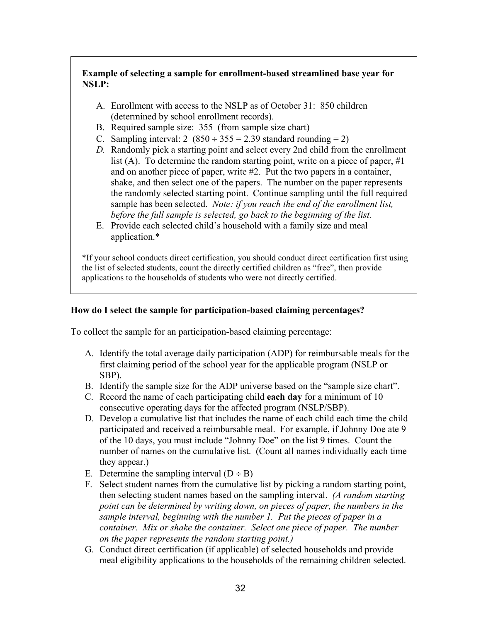#### **Example of selecting a sample for enrollment-based streamlined base year for NSLP:**

- A. Enrollment with access to the NSLP as of October 31: 850 children (determined by school enrollment records).
- B. Required sample size: 355 (from sample size chart)
- C. Sampling interval:  $2(850 \div 355 = 2.39$  standard rounding = 2)
- *D.* Randomly pick a starting point and select every 2nd child from the enrollment list (A). To determine the random starting point, write on a piece of paper, #1 and on another piece of paper, write #2. Put the two papers in a container, shake, and then select one of the papers. The number on the paper represents the randomly selected starting point. Continue sampling until the full required sample has been selected. *Note: if you reach the end of the enrollment list, before the full sample is selected, go back to the beginning of the list.*
- E. Provide each selected child's household with a family size and meal application.\*

\*If your school conducts direct certification, you should conduct direct certification first using the list of selected students, count the directly certified children as "free", then provide applications to the households of students who were not directly certified.

#### **How do I select the sample for participation-based claiming percentages?**

To collect the sample for an participation-based claiming percentage:

- A. Identify the total average daily participation (ADP) for reimbursable meals for the first claiming period of the school year for the applicable program (NSLP or SBP).
- B. Identify the sample size for the ADP universe based on the "sample size chart".
- C. Record the name of each participating child **each day** for a minimum of 10 consecutive operating days for the affected program (NSLP/SBP).
- D. Develop a cumulative list that includes the name of each child each time the child participated and received a reimbursable meal. For example, if Johnny Doe ate 9 of the 10 days, you must include "Johnny Doe" on the list 9 times. Count the number of names on the cumulative list. (Count all names individually each time they appear.)
- E. Determine the sampling interval  $(D \div B)$
- F. Select student names from the cumulative list by picking a random starting point, then selecting student names based on the sampling interval. *(A random starting point can be determined by writing down, on pieces of paper, the numbers in the sample interval, beginning with the number 1. Put the pieces of paper in a container. Mix or shake the container. Select one piece of paper. The number on the paper represents the random starting point.)*
- G. Conduct direct certification (if applicable) of selected households and provide meal eligibility applications to the households of the remaining children selected.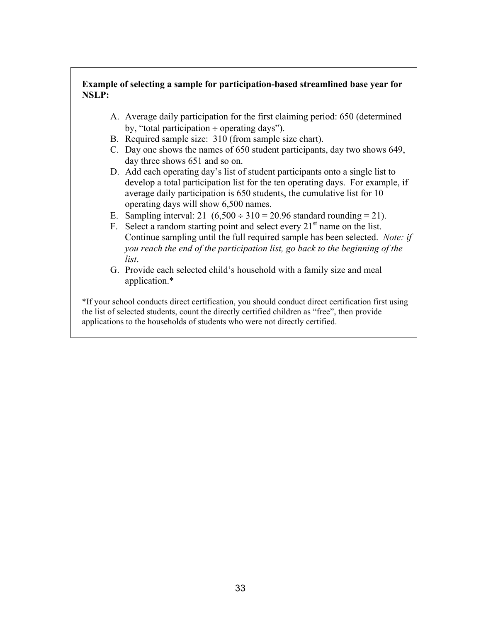#### **Example of selecting a sample for participation-based streamlined base year for NSLP:**

- A. Average daily participation for the first claiming period: 650 (determined by, "total participation  $\div$  operating days").
- B. Required sample size: 310 (from sample size chart).
- C. Day one shows the names of 650 student participants, day two shows 649, day three shows 651 and so on.
- D. Add each operating day's list of student participants onto a single list to develop a total participation list for the ten operating days. For example, if average daily participation is 650 students, the cumulative list for 10 operating days will show 6,500 names.
- E. Sampling interval:  $21 (6,500 \div 310 = 20.96$  standard rounding = 21).
- F. Select a random starting point and select every  $21<sup>st</sup>$  name on the list. Continue sampling until the full required sample has been selected. *Note: if you reach the end of the participation list, go back to the beginning of the list*.
- G. Provide each selected child's household with a family size and meal application.\*

\*If your school conducts direct certification, you should conduct direct certification first using the list of selected students, count the directly certified children as "free", then provide applications to the households of students who were not directly certified.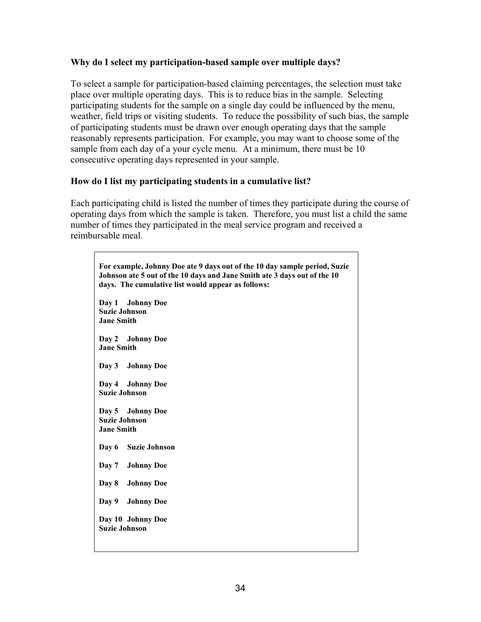#### **Why do I select my participation-based sample over multiple days?**

To select a sample for participation-based claiming percentages, the selection must take place over multiple operating days. This is to reduce bias in the sample. Selecting participating students for the sample on a single day could be influenced by the menu, weather, field trips or visiting students. To reduce the possibility of such bias, the sample of participating students must be drawn over enough operating days that the sample reasonably represents participation. For example, you may want to choose some of the sample from each day of a your cycle menu. At a minimum, there must be 10 consecutive operating days represented in your sample.

#### **How do I list my participating students in a cumulative list?**

 $\mathsf{r}$ 

Each participating child is listed the number of times they participate during the course of operating days from which the sample is taken. Therefore, you must list a child the same number of times they participated in the meal service program and received a reimbursable meal.

٦

| For example, Johnny Doe ate 9 days out of the 10 day sample period, Suzie<br>Johnson ate 5 out of the 10 days and Jane Smith ate 3 days out of the 10<br>days. The cumulative list would appear as follows: |  |  |  |  |  |
|-------------------------------------------------------------------------------------------------------------------------------------------------------------------------------------------------------------|--|--|--|--|--|
| Day 1 Johnny Doe<br><b>Suzie Johnson</b><br><b>Jane Smith</b>                                                                                                                                               |  |  |  |  |  |
| Day 2 Johnny Doe<br><b>Jane Smith</b>                                                                                                                                                                       |  |  |  |  |  |
| Day 3<br><b>Johnny Doe</b>                                                                                                                                                                                  |  |  |  |  |  |
| Day 4 Johnny Doe<br><b>Suzie Johnson</b>                                                                                                                                                                    |  |  |  |  |  |
| Day 5 Johnny Doe<br><b>Suzie Johnson</b><br><b>Jane Smith</b>                                                                                                                                               |  |  |  |  |  |
| Day 6<br>Suzie Johnson                                                                                                                                                                                      |  |  |  |  |  |
| Day 7<br><b>Johnny Doe</b>                                                                                                                                                                                  |  |  |  |  |  |
| Day 8<br><b>Johnny Doe</b>                                                                                                                                                                                  |  |  |  |  |  |
| Day 9<br><b>Johnny Doe</b>                                                                                                                                                                                  |  |  |  |  |  |
| Day 10 Johnny Doe<br><b>Suzie Johnson</b>                                                                                                                                                                   |  |  |  |  |  |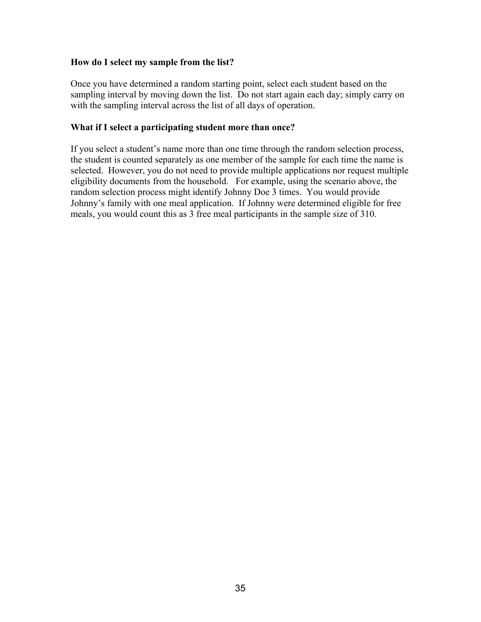#### **How do I select my sample from the list?**

Once you have determined a random starting point, select each student based on the sampling interval by moving down the list. Do not start again each day; simply carry on with the sampling interval across the list of all days of operation.

#### **What if I select a participating student more than once?**

If you select a student's name more than one time through the random selection process, the student is counted separately as one member of the sample for each time the name is selected. However, you do not need to provide multiple applications nor request multiple eligibility documents from the household. For example, using the scenario above, the random selection process might identify Johnny Doe 3 times. You would provide Johnny's family with one meal application. If Johnny were determined eligible for free meals, you would count this as 3 free meal participants in the sample size of 310.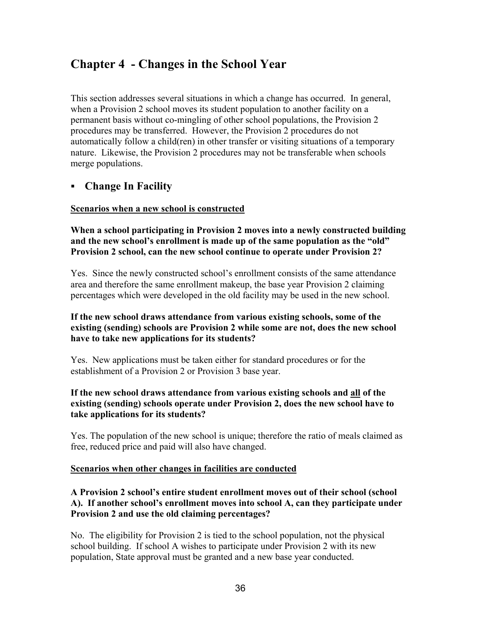# **Chapter 4 - Changes in the School Year**

This section addresses several situations in which a change has occurred. In general, when a Provision 2 school moves its student population to another facility on a permanent basis without co-mingling of other school populations, the Provision 2 procedures may be transferred. However, the Provision 2 procedures do not automatically follow a child(ren) in other transfer or visiting situations of a temporary nature. Likewise, the Provision 2 procedures may not be transferable when schools merge populations.

#### **Change In Facility**

#### **Scenarios when a new school is constructed**

**When a school participating in Provision 2 moves into a newly constructed building and the new school's enrollment is made up of the same population as the "old" Provision 2 school, can the new school continue to operate under Provision 2?** 

Yes. Since the newly constructed school's enrollment consists of the same attendance area and therefore the same enrollment makeup, the base year Provision 2 claiming percentages which were developed in the old facility may be used in the new school.

#### **If the new school draws attendance from various existing schools, some of the existing (sending) schools are Provision 2 while some are not, does the new school have to take new applications for its students?**

Yes. New applications must be taken either for standard procedures or for the establishment of a Provision 2 or Provision 3 base year.

#### **If the new school draws attendance from various existing schools and all of the existing (sending) schools operate under Provision 2, does the new school have to take applications for its students?**

Yes. The population of the new school is unique; therefore the ratio of meals claimed as free, reduced price and paid will also have changed.

#### **Scenarios when other changes in facilities are conducted**

#### **A Provision 2 school's entire student enrollment moves out of their school (school A). If another school's enrollment moves into school A, can they participate under Provision 2 and use the old claiming percentages?**

No. The eligibility for Provision 2 is tied to the school population, not the physical school building. If school A wishes to participate under Provision 2 with its new population, State approval must be granted and a new base year conducted.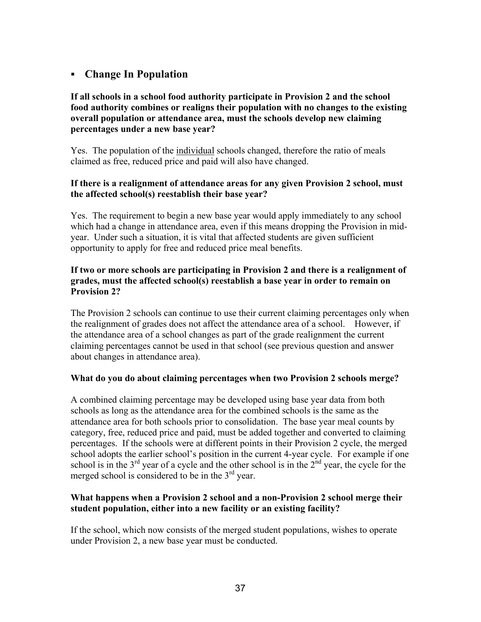#### **Change In Population**

#### **If all schools in a school food authority participate in Provision 2 and the school food authority combines or realigns their population with no changes to the existing overall population or attendance area, must the schools develop new claiming percentages under a new base year?**

Yes. The population of the individual schools changed, therefore the ratio of meals claimed as free, reduced price and paid will also have changed.

#### **If there is a realignment of attendance areas for any given Provision 2 school, must the affected school(s) reestablish their base year?**

Yes. The requirement to begin a new base year would apply immediately to any school which had a change in attendance area, even if this means dropping the Provision in midyear. Under such a situation, it is vital that affected students are given sufficient opportunity to apply for free and reduced price meal benefits.

#### **If two or more schools are participating in Provision 2 and there is a realignment of grades, must the affected school(s) reestablish a base year in order to remain on Provision 2?**

The Provision 2 schools can continue to use their current claiming percentages only when the realignment of grades does not affect the attendance area of a school. However, if the attendance area of a school changes as part of the grade realignment the current claiming percentages cannot be used in that school (see previous question and answer about changes in attendance area).

#### **What do you do about claiming percentages when two Provision 2 schools merge?**

A combined claiming percentage may be developed using base year data from both schools as long as the attendance area for the combined schools is the same as the attendance area for both schools prior to consolidation. The base year meal counts by category, free, reduced price and paid, must be added together and converted to claiming percentages. If the schools were at different points in their Provision 2 cycle, the merged school adopts the earlier school's position in the current 4-year cycle. For example if one school is in the  $3<sup>rd</sup>$  year of a cycle and the other school is in the  $2<sup>nd</sup>$  year, the cycle for the merged school is considered to be in the  $3<sup>rd</sup>$  year.

#### **What happens when a Provision 2 school and a non-Provision 2 school merge their student population, either into a new facility or an existing facility?**

If the school, which now consists of the merged student populations, wishes to operate under Provision 2, a new base year must be conducted.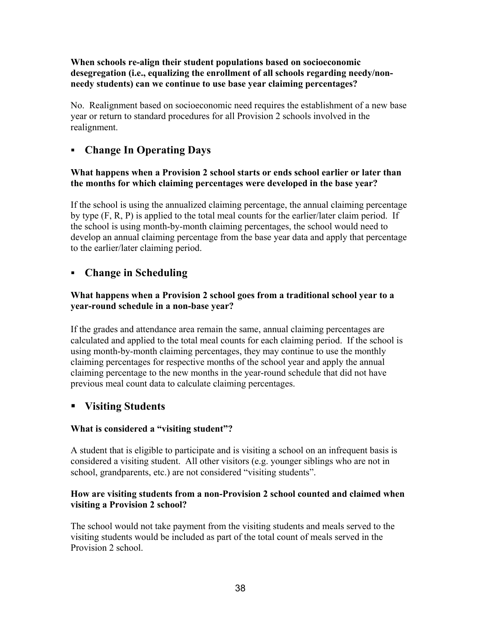#### **When schools re-align their student populations based on socioeconomic desegregation (i.e., equalizing the enrollment of all schools regarding needy/nonneedy students) can we continue to use base year claiming percentages?**

No. Realignment based on socioeconomic need requires the establishment of a new base year or return to standard procedures for all Provision 2 schools involved in the realignment.

#### **Change In Operating Days**

#### **What happens when a Provision 2 school starts or ends school earlier or later than the months for which claiming percentages were developed in the base year?**

If the school is using the annualized claiming percentage, the annual claiming percentage by type (F, R, P) is applied to the total meal counts for the earlier/later claim period. If the school is using month-by-month claiming percentages, the school would need to develop an annual claiming percentage from the base year data and apply that percentage to the earlier/later claiming period.

#### **Change in Scheduling**

#### **What happens when a Provision 2 school goes from a traditional school year to a year-round schedule in a non-base year?**

If the grades and attendance area remain the same, annual claiming percentages are calculated and applied to the total meal counts for each claiming period. If the school is using month-by-month claiming percentages, they may continue to use the monthly claiming percentages for respective months of the school year and apply the annual claiming percentage to the new months in the year-round schedule that did not have previous meal count data to calculate claiming percentages.

#### **Visiting Students**

#### **What is considered a "visiting student"?**

A student that is eligible to participate and is visiting a school on an infrequent basis is considered a visiting student. All other visitors (e.g. younger siblings who are not in school, grandparents, etc.) are not considered "visiting students".

#### **How are visiting students from a non-Provision 2 school counted and claimed when visiting a Provision 2 school?**

The school would not take payment from the visiting students and meals served to the visiting students would be included as part of the total count of meals served in the Provision 2 school.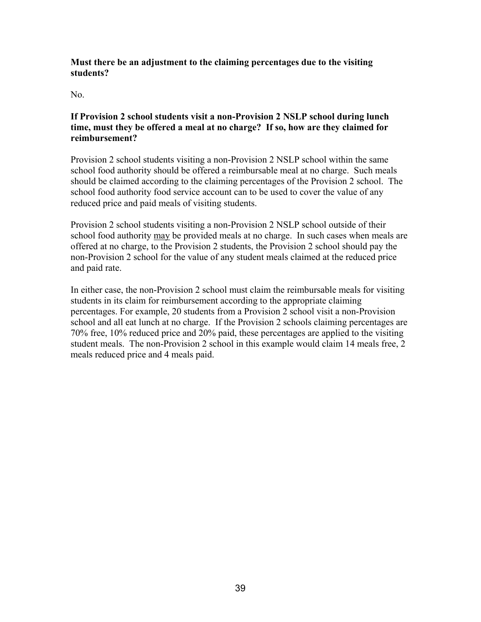#### **Must there be an adjustment to the claiming percentages due to the visiting students?**

No.

#### **If Provision 2 school students visit a non-Provision 2 NSLP school during lunch time, must they be offered a meal at no charge? If so, how are they claimed for reimbursement?**

Provision 2 school students visiting a non-Provision 2 NSLP school within the same school food authority should be offered a reimbursable meal at no charge. Such meals should be claimed according to the claiming percentages of the Provision 2 school. The school food authority food service account can to be used to cover the value of any reduced price and paid meals of visiting students.

Provision 2 school students visiting a non-Provision 2 NSLP school outside of their school food authority may be provided meals at no charge. In such cases when meals are offered at no charge, to the Provision 2 students, the Provision 2 school should pay the non-Provision 2 school for the value of any student meals claimed at the reduced price and paid rate.

In either case, the non-Provision 2 school must claim the reimbursable meals for visiting students in its claim for reimbursement according to the appropriate claiming percentages. For example, 20 students from a Provision 2 school visit a non-Provision school and all eat lunch at no charge. If the Provision 2 schools claiming percentages are 70% free, 10% reduced price and 20% paid, these percentages are applied to the visiting student meals. The non-Provision 2 school in this example would claim 14 meals free, 2 meals reduced price and 4 meals paid.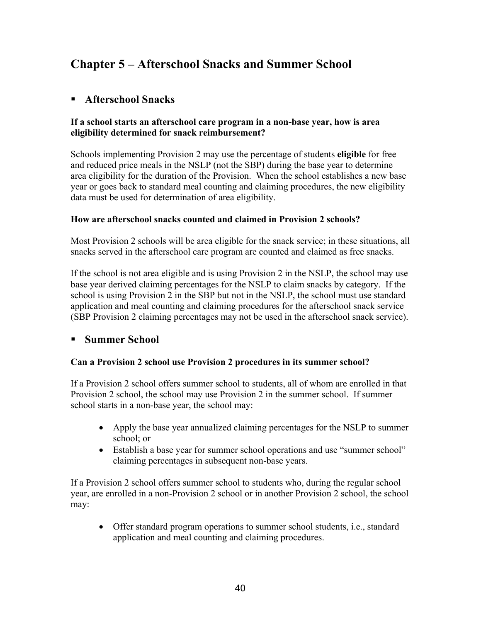# **Chapter 5 – Afterschool Snacks and Summer School**

#### **Afterschool Snacks**

#### **If a school starts an afterschool care program in a non-base year, how is area eligibility determined for snack reimbursement?**

Schools implementing Provision 2 may use the percentage of students **eligible** for free and reduced price meals in the NSLP (not the SBP) during the base year to determine area eligibility for the duration of the Provision. When the school establishes a new base year or goes back to standard meal counting and claiming procedures, the new eligibility data must be used for determination of area eligibility.

#### **How are afterschool snacks counted and claimed in Provision 2 schools?**

Most Provision 2 schools will be area eligible for the snack service; in these situations, all snacks served in the afterschool care program are counted and claimed as free snacks.

If the school is not area eligible and is using Provision 2 in the NSLP, the school may use base year derived claiming percentages for the NSLP to claim snacks by category. If the school is using Provision 2 in the SBP but not in the NSLP, the school must use standard application and meal counting and claiming procedures for the afterschool snack service (SBP Provision 2 claiming percentages may not be used in the afterschool snack service).

#### **Summer School**

#### **Can a Provision 2 school use Provision 2 procedures in its summer school?**

If a Provision 2 school offers summer school to students, all of whom are enrolled in that Provision 2 school, the school may use Provision 2 in the summer school. If summer school starts in a non-base year, the school may:

- Apply the base year annualized claiming percentages for the NSLP to summer school; or
- Establish a base year for summer school operations and use "summer school" claiming percentages in subsequent non-base years.

If a Provision 2 school offers summer school to students who, during the regular school year, are enrolled in a non-Provision 2 school or in another Provision 2 school, the school may:

• Offer standard program operations to summer school students, i.e., standard application and meal counting and claiming procedures.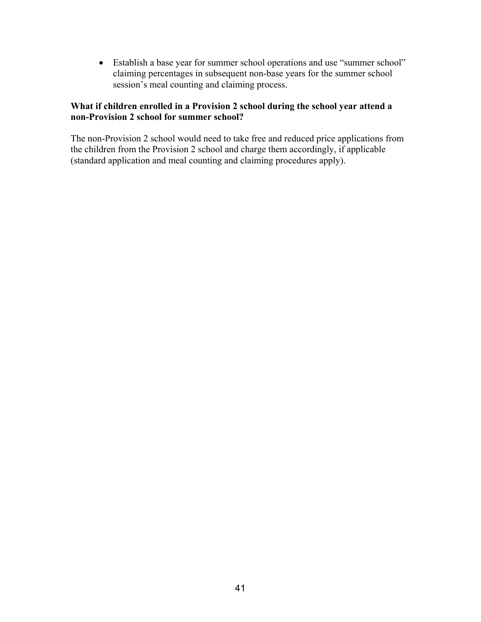• Establish a base year for summer school operations and use "summer school" claiming percentages in subsequent non-base years for the summer school session's meal counting and claiming process.

#### **What if children enrolled in a Provision 2 school during the school year attend a non-Provision 2 school for summer school?**

The non-Provision 2 school would need to take free and reduced price applications from the children from the Provision 2 school and charge them accordingly, if applicable (standard application and meal counting and claiming procedures apply).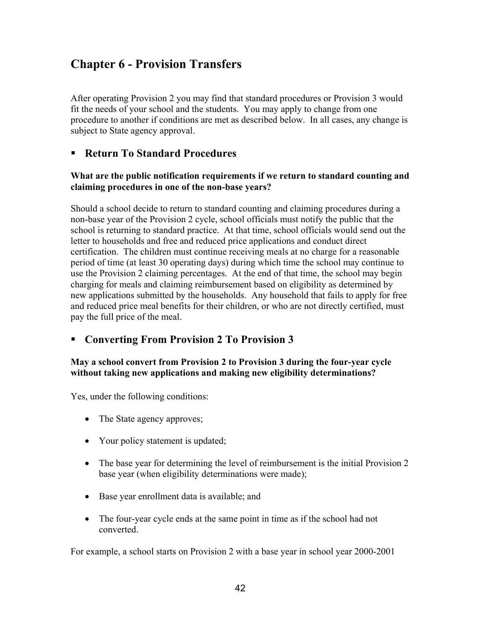# **Chapter 6 - Provision Transfers**

After operating Provision 2 you may find that standard procedures or Provision 3 would fit the needs of your school and the students. You may apply to change from one procedure to another if conditions are met as described below. In all cases, any change is subject to State agency approval.

#### **Return To Standard Procedures**

#### **What are the public notification requirements if we return to standard counting and claiming procedures in one of the non-base years?**

Should a school decide to return to standard counting and claiming procedures during a non-base year of the Provision 2 cycle, school officials must notify the public that the school is returning to standard practice. At that time, school officials would send out the letter to households and free and reduced price applications and conduct direct certification. The children must continue receiving meals at no charge for a reasonable period of time (at least 30 operating days) during which time the school may continue to use the Provision 2 claiming percentages. At the end of that time, the school may begin charging for meals and claiming reimbursement based on eligibility as determined by new applications submitted by the households. Any household that fails to apply for free and reduced price meal benefits for their children, or who are not directly certified, must pay the full price of the meal.

#### **Converting From Provision 2 To Provision 3**

#### **May a school convert from Provision 2 to Provision 3 during the four-year cycle without taking new applications and making new eligibility determinations?**

Yes, under the following conditions:

- The State agency approves;
- Your policy statement is updated;
- The base year for determining the level of reimbursement is the initial Provision 2 base year (when eligibility determinations were made);
- Base year enrollment data is available; and
- The four-year cycle ends at the same point in time as if the school had not converted.

For example, a school starts on Provision 2 with a base year in school year 2000-2001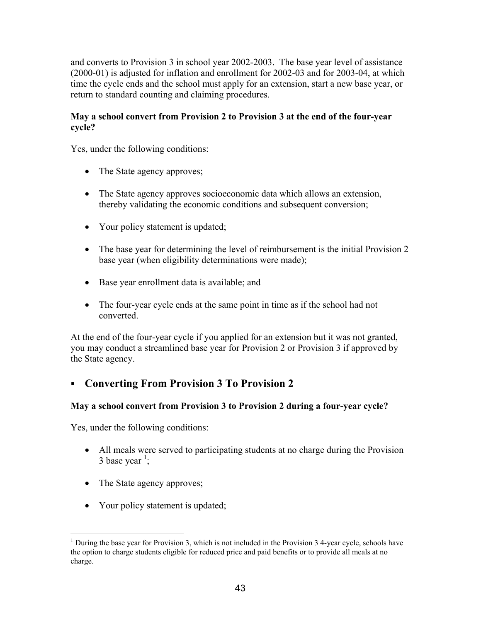and converts to Provision 3 in school year 2002-2003. The base year level of assistance (2000-01) is adjusted for inflation and enrollment for 2002-03 and for 2003-04, at which time the cycle ends and the school must apply for an extension, start a new base year, or return to standard counting and claiming procedures.

#### **May a school convert from Provision 2 to Provision 3 at the end of the four-year cycle?**

Yes, under the following conditions:

- The State agency approves;
- The State agency approves socioeconomic data which allows an extension, thereby validating the economic conditions and subsequent conversion;
- Your policy statement is updated;
- The base year for determining the level of reimbursement is the initial Provision 2 base year (when eligibility determinations were made);
- Base year enrollment data is available; and
- The four-year cycle ends at the same point in time as if the school had not converted.

At the end of the four-year cycle if you applied for an extension but it was not granted, you may conduct a streamlined base year for Provision 2 or Provision 3 if approved by the State agency.

#### **Converting From Provision 3 To Provision 2**

#### **May a school convert from Provision 3 to Provision 2 during a four-year cycle?**

Yes, under the following conditions:

- All meals were served to participating students at no charge during the Provision 3 base year  $\frac{1}{2}$  $\frac{1}{2}$  $\frac{1}{2}$ ;
- The State agency approves;
- Your policy statement is updated;

<span id="page-42-0"></span><sup>1</sup> <sup>1</sup> During the base year for Provision 3, which is not included in the Provision  $3$  4-year cycle, schools have the option to charge students eligible for reduced price and paid benefits or to provide all meals at no charge.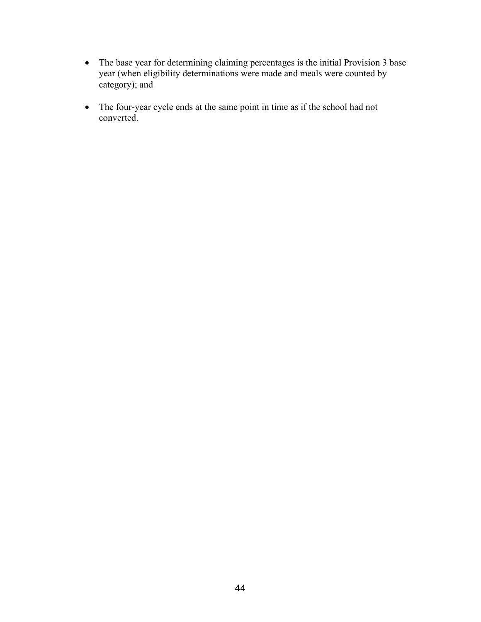- The base year for determining claiming percentages is the initial Provision 3 base year (when eligibility determinations were made and meals were counted by category); and
- The four-year cycle ends at the same point in time as if the school had not converted.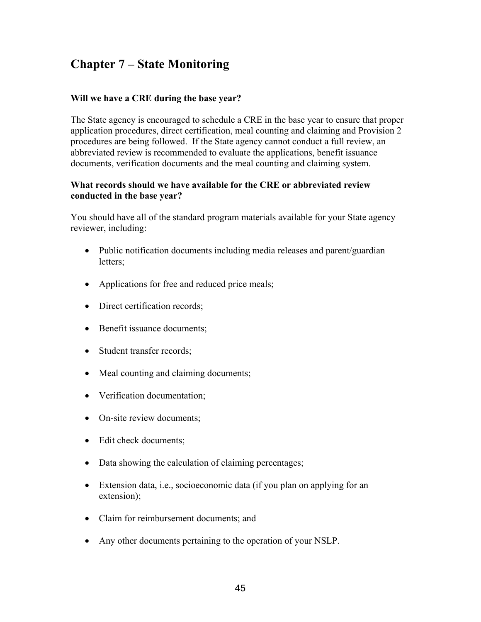# **Chapter 7 – State Monitoring**

#### **Will we have a CRE during the base year?**

The State agency is encouraged to schedule a CRE in the base year to ensure that proper application procedures, direct certification, meal counting and claiming and Provision 2 procedures are being followed. If the State agency cannot conduct a full review, an abbreviated review is recommended to evaluate the applications, benefit issuance documents, verification documents and the meal counting and claiming system.

#### **What records should we have available for the CRE or abbreviated review conducted in the base year?**

You should have all of the standard program materials available for your State agency reviewer, including:

- Public notification documents including media releases and parent/guardian letters;
- Applications for free and reduced price meals;
- Direct certification records;
- Benefit issuance documents;
- Student transfer records;
- Meal counting and claiming documents;
- Verification documentation;
- On-site review documents;
- Edit check documents;
- Data showing the calculation of claiming percentages;
- Extension data, i.e., socioeconomic data (if you plan on applying for an extension);
- Claim for reimbursement documents; and
- Any other documents pertaining to the operation of your NSLP.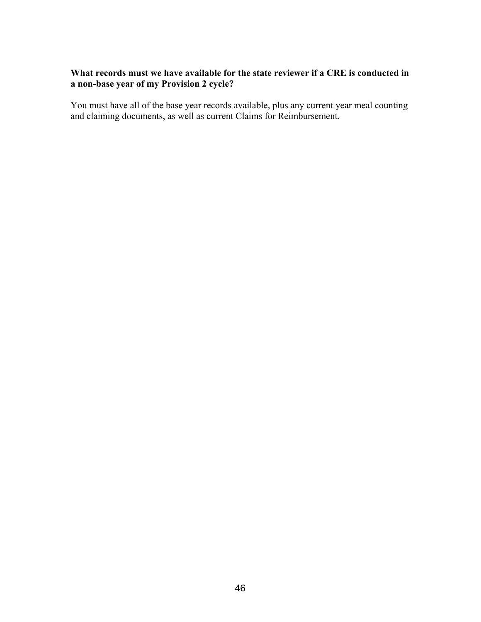#### **What records must we have available for the state reviewer if a CRE is conducted in a non-base year of my Provision 2 cycle?**

You must have all of the base year records available, plus any current year meal counting and claiming documents, as well as current Claims for Reimbursement.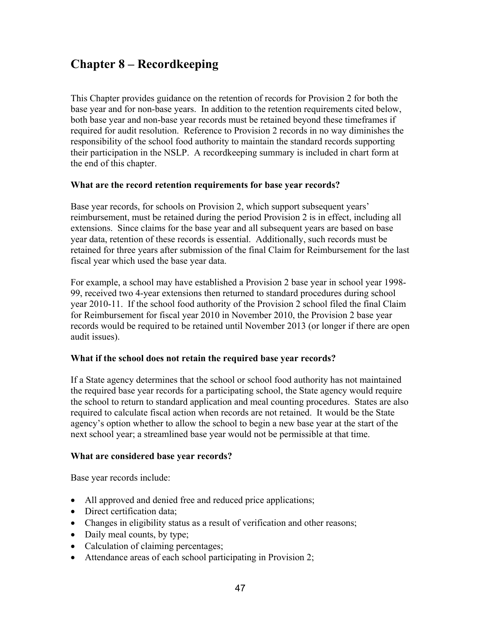# **Chapter 8 – Recordkeeping**

This Chapter provides guidance on the retention of records for Provision 2 for both the base year and for non-base years. In addition to the retention requirements cited below, both base year and non-base year records must be retained beyond these timeframes if required for audit resolution. Reference to Provision 2 records in no way diminishes the responsibility of the school food authority to maintain the standard records supporting their participation in the NSLP. A recordkeeping summary is included in chart form at the end of this chapter.

#### **What are the record retention requirements for base year records?**

Base year records, for schools on Provision 2, which support subsequent years' reimbursement, must be retained during the period Provision 2 is in effect, including all extensions. Since claims for the base year and all subsequent years are based on base year data, retention of these records is essential. Additionally, such records must be retained for three years after submission of the final Claim for Reimbursement for the last fiscal year which used the base year data.

For example, a school may have established a Provision 2 base year in school year 1998- 99, received two 4-year extensions then returned to standard procedures during school year 2010-11. If the school food authority of the Provision 2 school filed the final Claim for Reimbursement for fiscal year 2010 in November 2010, the Provision 2 base year records would be required to be retained until November 2013 (or longer if there are open audit issues).

#### **What if the school does not retain the required base year records?**

If a State agency determines that the school or school food authority has not maintained the required base year records for a participating school, the State agency would require the school to return to standard application and meal counting procedures. States are also required to calculate fiscal action when records are not retained. It would be the State agency's option whether to allow the school to begin a new base year at the start of the next school year; a streamlined base year would not be permissible at that time.

#### **What are considered base year records?**

Base year records include:

- All approved and denied free and reduced price applications;
- Direct certification data;
- Changes in eligibility status as a result of verification and other reasons;
- Daily meal counts, by type;
- Calculation of claiming percentages;
- Attendance areas of each school participating in Provision 2;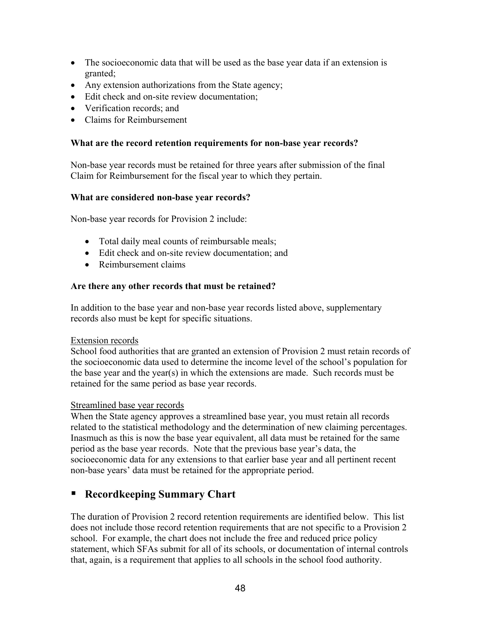- The socioeconomic data that will be used as the base year data if an extension is granted;
- Any extension authorizations from the State agency;
- Edit check and on-site review documentation:
- Verification records; and
- Claims for Reimbursement

#### **What are the record retention requirements for non-base year records?**

Non-base year records must be retained for three years after submission of the final Claim for Reimbursement for the fiscal year to which they pertain.

#### **What are considered non-base year records?**

Non-base year records for Provision 2 include:

- Total daily meal counts of reimbursable meals;
- Edit check and on-site review documentation; and
- Reimbursement claims

#### **Are there any other records that must be retained?**

In addition to the base year and non-base year records listed above, supplementary records also must be kept for specific situations.

#### Extension records

School food authorities that are granted an extension of Provision 2 must retain records of the socioeconomic data used to determine the income level of the school's population for the base year and the year(s) in which the extensions are made. Such records must be retained for the same period as base year records.

#### Streamlined base year records

When the State agency approves a streamlined base year, you must retain all records related to the statistical methodology and the determination of new claiming percentages. Inasmuch as this is now the base year equivalent, all data must be retained for the same period as the base year records. Note that the previous base year's data, the socioeconomic data for any extensions to that earlier base year and all pertinent recent non-base years' data must be retained for the appropriate period.

#### **Recordkeeping Summary Chart**

The duration of Provision 2 record retention requirements are identified below. This list does not include those record retention requirements that are not specific to a Provision 2 school. For example, the chart does not include the free and reduced price policy statement, which SFAs submit for all of its schools, or documentation of internal controls that, again, is a requirement that applies to all schools in the school food authority.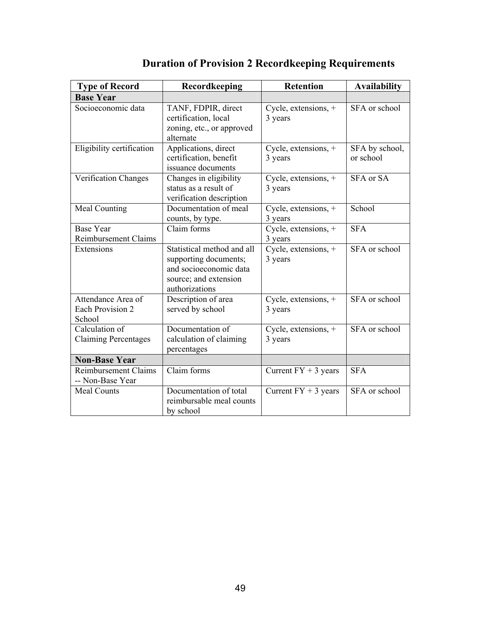| <b>Type of Record</b>                                   | Recordkeeping                                                                                                            | <b>Retention</b>                  | <b>Availability</b>         |
|---------------------------------------------------------|--------------------------------------------------------------------------------------------------------------------------|-----------------------------------|-----------------------------|
| <b>Base Year</b>                                        |                                                                                                                          |                                   |                             |
| Socioeconomic data                                      | TANF, FDPIR, direct<br>certification, local<br>zoning, etc., or approved<br>alternate                                    | Cycle, extensions, $+$<br>3 years | SFA or school               |
| Eligibility certification                               | Applications, direct<br>certification, benefit<br>issuance documents                                                     | Cycle, extensions, $+$<br>3 years | SFA by school,<br>or school |
| Verification Changes                                    | Changes in eligibility<br>status as a result of<br>verification description                                              | Cycle, extensions, +<br>3 years   | SFA or SA                   |
| Meal Counting                                           | Documentation of meal<br>counts, by type.                                                                                | Cycle, extensions, $+$<br>3 years | School                      |
| <b>Base Year</b><br><b>Reimbursement Claims</b>         | Claim forms                                                                                                              | Cycle, extensions, $+$<br>3 years | <b>SFA</b>                  |
| Extensions                                              | Statistical method and all<br>supporting documents;<br>and socioeconomic data<br>source; and extension<br>authorizations | Cycle, extensions, $+$<br>3 years | SFA or school               |
| Attendance Area of<br><b>Each Provision 2</b><br>School | Description of area<br>served by school                                                                                  | Cycle, extensions, +<br>3 years   | SFA or school               |
| Calculation of<br><b>Claiming Percentages</b>           | Documentation of<br>calculation of claiming<br>percentages                                                               | Cycle, extensions, +<br>3 years   | SFA or school               |
| <b>Non-Base Year</b>                                    |                                                                                                                          |                                   |                             |
| <b>Reimbursement Claims</b><br>-- Non-Base Year         | Claim forms                                                                                                              | Current $FY + 3$ years            | <b>SFA</b>                  |
| <b>Meal Counts</b>                                      | Documentation of total<br>reimbursable meal counts<br>by school                                                          | Current $FY + 3$ years            | SFA or school               |

# **Duration of Provision 2 Recordkeeping Requirements**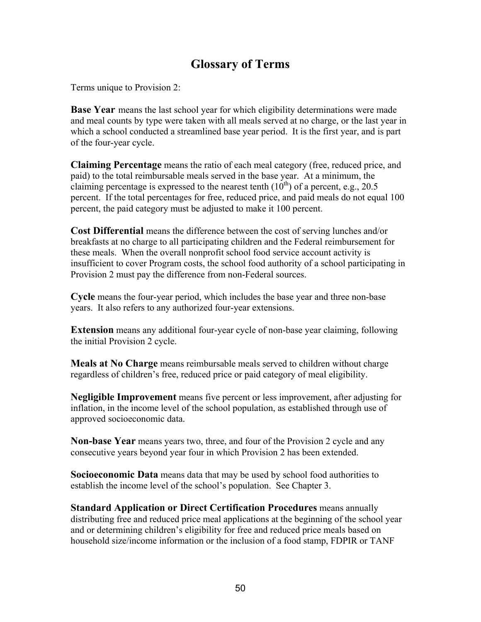# **Glossary of Terms**

Terms unique to Provision 2:

**Base Year** means the last school year for which eligibility determinations were made and meal counts by type were taken with all meals served at no charge, or the last year in which a school conducted a streamlined base year period. It is the first year, and is part of the four-year cycle.

**Claiming Percentage** means the ratio of each meal category (free, reduced price, and paid) to the total reimbursable meals served in the base year. At a minimum, the claiming percentage is expressed to the nearest tenth  $(10<sup>th</sup>)$  of a percent, e.g., 20.5 percent. If the total percentages for free, reduced price, and paid meals do not equal 100 percent, the paid category must be adjusted to make it 100 percent.

**Cost Differential** means the difference between the cost of serving lunches and/or breakfasts at no charge to all participating children and the Federal reimbursement for these meals. When the overall nonprofit school food service account activity is insufficient to cover Program costs, the school food authority of a school participating in Provision 2 must pay the difference from non-Federal sources.

**Cycle** means the four-year period, which includes the base year and three non-base years. It also refers to any authorized four-year extensions.

**Extension** means any additional four-year cycle of non-base year claiming, following the initial Provision 2 cycle.

**Meals at No Charge** means reimbursable meals served to children without charge regardless of children's free, reduced price or paid category of meal eligibility.

**Negligible Improvement** means five percent or less improvement, after adjusting for inflation, in the income level of the school population, as established through use of approved socioeconomic data.

**Non-base Year** means years two, three, and four of the Provision 2 cycle and any consecutive years beyond year four in which Provision 2 has been extended.

**Socioeconomic Data** means data that may be used by school food authorities to establish the income level of the school's population. See Chapter 3.

**Standard Application or Direct Certification Procedures** means annually distributing free and reduced price meal applications at the beginning of the school year and or determining children's eligibility for free and reduced price meals based on household size/income information or the inclusion of a food stamp, FDPIR or TANF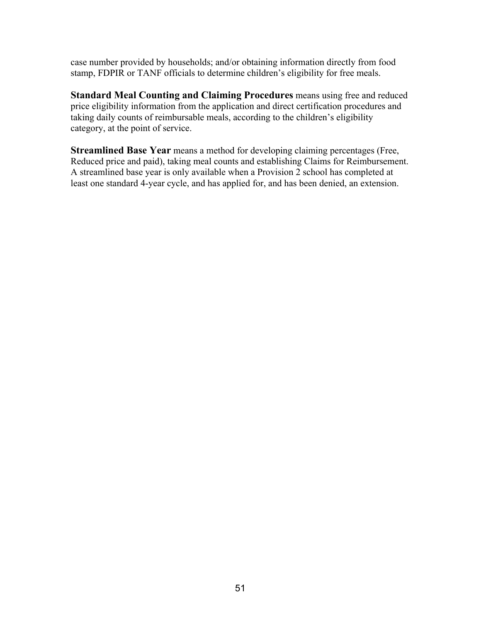case number provided by households; and/or obtaining information directly from food stamp, FDPIR or TANF officials to determine children's eligibility for free meals.

**Standard Meal Counting and Claiming Procedures** means using free and reduced price eligibility information from the application and direct certification procedures and taking daily counts of reimbursable meals, according to the children's eligibility category, at the point of service.

**Streamlined Base Year** means a method for developing claiming percentages (Free, Reduced price and paid), taking meal counts and establishing Claims for Reimbursement. A streamlined base year is only available when a Provision 2 school has completed at least one standard 4-year cycle, and has applied for, and has been denied, an extension.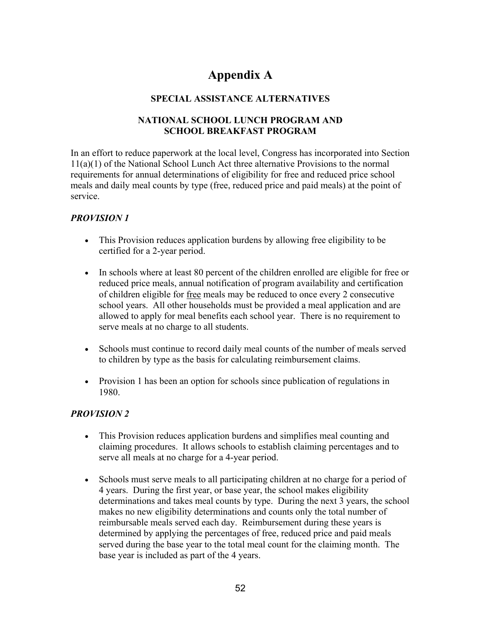# **Appendix A**

#### **SPECIAL ASSISTANCE ALTERNATIVES**

#### **NATIONAL SCHOOL LUNCH PROGRAM AND SCHOOL BREAKFAST PROGRAM**

In an effort to reduce paperwork at the local level, Congress has incorporated into Section 11(a)(1) of the National School Lunch Act three alternative Provisions to the normal requirements for annual determinations of eligibility for free and reduced price school meals and daily meal counts by type (free, reduced price and paid meals) at the point of service.

#### *PROVISION 1*

- This Provision reduces application burdens by allowing free eligibility to be certified for a 2-year period.
- In schools where at least 80 percent of the children enrolled are eligible for free or reduced price meals, annual notification of program availability and certification of children eligible for free meals may be reduced to once every 2 consecutive school years. All other households must be provided a meal application and are allowed to apply for meal benefits each school year. There is no requirement to serve meals at no charge to all students.
- Schools must continue to record daily meal counts of the number of meals served to children by type as the basis for calculating reimbursement claims.
- Provision 1 has been an option for schools since publication of regulations in 1980.

#### *PROVISION 2*

- This Provision reduces application burdens and simplifies meal counting and claiming procedures. It allows schools to establish claiming percentages and to serve all meals at no charge for a 4-year period.
- Schools must serve meals to all participating children at no charge for a period of 4 years. During the first year, or base year, the school makes eligibility determinations and takes meal counts by type. During the next 3 years, the school makes no new eligibility determinations and counts only the total number of reimbursable meals served each day. Reimbursement during these years is determined by applying the percentages of free, reduced price and paid meals served during the base year to the total meal count for the claiming month. The base year is included as part of the 4 years.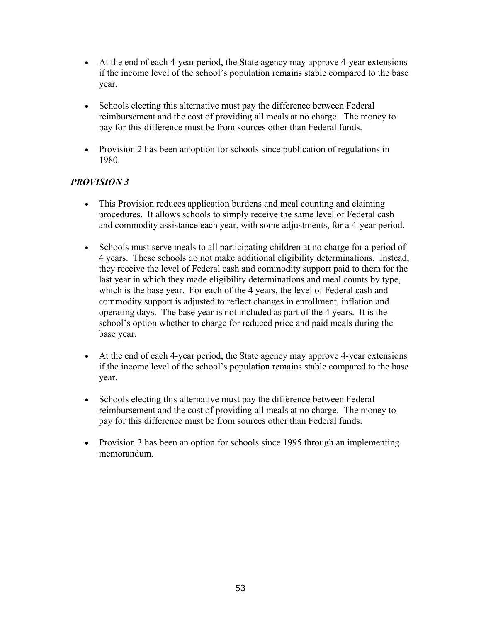- At the end of each 4-year period, the State agency may approve 4-year extensions if the income level of the school's population remains stable compared to the base year.
- Schools electing this alternative must pay the difference between Federal reimbursement and the cost of providing all meals at no charge. The money to pay for this difference must be from sources other than Federal funds.
- Provision 2 has been an option for schools since publication of regulations in 1980.

#### *PROVISION 3*

- This Provision reduces application burdens and meal counting and claiming procedures. It allows schools to simply receive the same level of Federal cash and commodity assistance each year, with some adjustments, for a 4-year period.
- Schools must serve meals to all participating children at no charge for a period of 4 years. These schools do not make additional eligibility determinations. Instead, they receive the level of Federal cash and commodity support paid to them for the last year in which they made eligibility determinations and meal counts by type, which is the base year. For each of the 4 years, the level of Federal cash and commodity support is adjusted to reflect changes in enrollment, inflation and operating days. The base year is not included as part of the 4 years. It is the school's option whether to charge for reduced price and paid meals during the base year.
- At the end of each 4-year period, the State agency may approve 4-year extensions if the income level of the school's population remains stable compared to the base year.
- Schools electing this alternative must pay the difference between Federal reimbursement and the cost of providing all meals at no charge. The money to pay for this difference must be from sources other than Federal funds.
- Provision 3 has been an option for schools since 1995 through an implementing memorandum.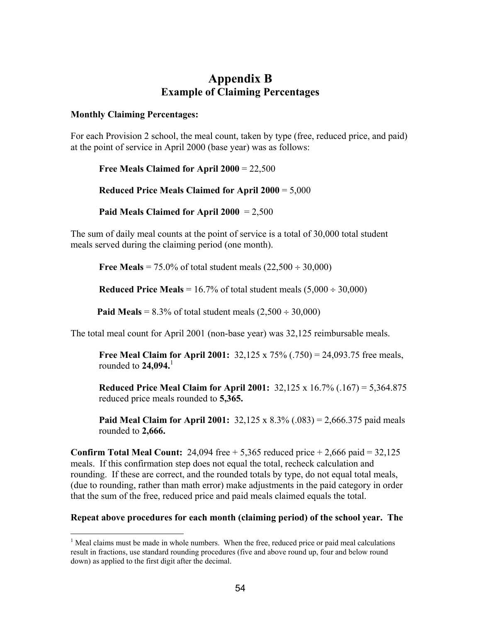#### **Appendix B Example of Claiming Percentages**

#### **Monthly Claiming Percentages:**

 $\overline{a}$ 

For each Provision 2 school, the meal count, taken by type (free, reduced price, and paid) at the point of service in April 2000 (base year) was as follows:

**Free Meals Claimed for April 2000** = 22,500

**Reduced Price Meals Claimed for April 2000** = 5,000

**Paid Meals Claimed for April 2000** = 2,500

The sum of daily meal counts at the point of service is a total of 30,000 total student meals served during the claiming period (one month).

**Free Meals** = 75.0% of total student meals  $(22,500 \div 30,000)$ 

**Reduced Price Meals** =  $16.7\%$  of total student meals  $(5,000 \div 30,000)$ 

**Paid Meals** =  $8.3\%$  of total student meals  $(2.500 \div 30.000)$ 

The total meal count for April 2001 (non-base year) was 32,125 reimbursable meals.

**Free Meal Claim for April 2001:** 32,125 x 75% (.750) = 24,093.75 free meals, rounded to **24,094.**[1](#page-53-0)

**Reduced Price Meal Claim for April 2001:** 32,125 x 16.7% (.167) = 5,364.875 reduced price meals rounded to **5,365.** 

**Paid Meal Claim for April 2001:** 32,125 x 8.3% (.083) = 2,666.375 paid meals rounded to **2,666.**

**Confirm Total Meal Count:** 24,094 free  $+ 5,365$  reduced price  $+ 2,666$  paid  $= 32,125$ meals. If this confirmation step does not equal the total, recheck calculation and rounding. If these are correct, and the rounded totals by type, do not equal total meals, (due to rounding, rather than math error) make adjustments in the paid category in order that the sum of the free, reduced price and paid meals claimed equals the total.

#### **Repeat above procedures for each month (claiming period) of the school year. The**

<span id="page-53-0"></span> $<sup>1</sup>$  Meal claims must be made in whole numbers. When the free, reduced price or paid meal calculations</sup> result in fractions, use standard rounding procedures (five and above round up, four and below round down) as applied to the first digit after the decimal.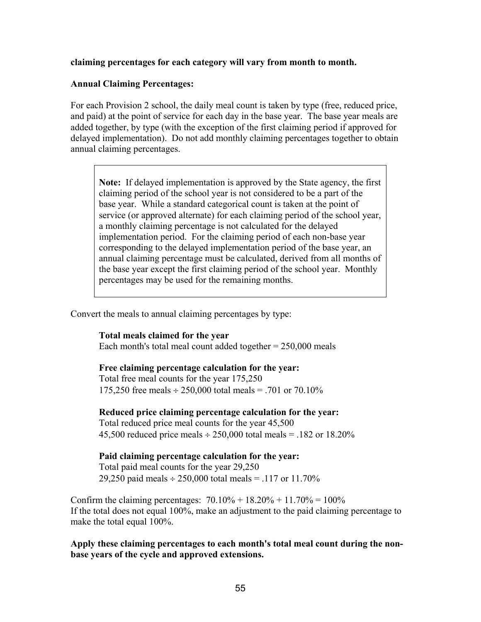**claiming percentages for each category will vary from month to month.** 

#### **Annual Claiming Percentages:**

For each Provision 2 school, the daily meal count is taken by type (free, reduced price, and paid) at the point of service for each day in the base year. The base year meals are added together, by type (with the exception of the first claiming period if approved for delayed implementation). Do not add monthly claiming percentages together to obtain annual claiming percentages.

**Note:** If delayed implementation is approved by the State agency, the first claiming period of the school year is not considered to be a part of the base year. While a standard categorical count is taken at the point of service (or approved alternate) for each claiming period of the school year, a monthly claiming percentage is not calculated for the delayed implementation period. For the claiming period of each non-base year corresponding to the delayed implementation period of the base year, an annual claiming percentage must be calculated, derived from all months of the base year except the first claiming period of the school year. Monthly percentages may be used for the remaining months.

Convert the meals to annual claiming percentages by type:

**Total meals claimed for the year**  Each month's total meal count added together  $= 250,000$  meals

#### **Free claiming percentage calculation for the year:**

Total free meal counts for the year 175,250 175,250 free meals ÷ 250,000 total meals = .701 or 70.10%

#### **Reduced price claiming percentage calculation for the year:**

Total reduced price meal counts for the year 45,500 45,500 reduced price meals  $\div 250,000$  total meals = .182 or 18.20%

**Paid claiming percentage calculation for the year:**  Total paid meal counts for the year 29,250 29,250 paid meals  $\div$  250,000 total meals = .117 or 11.70%

Confirm the claiming percentages:  $70.10\% + 18.20\% + 11.70\% = 100\%$ If the total does not equal 100%, make an adjustment to the paid claiming percentage to make the total equal 100%.

**Apply these claiming percentages to each month's total meal count during the nonbase years of the cycle and approved extensions.**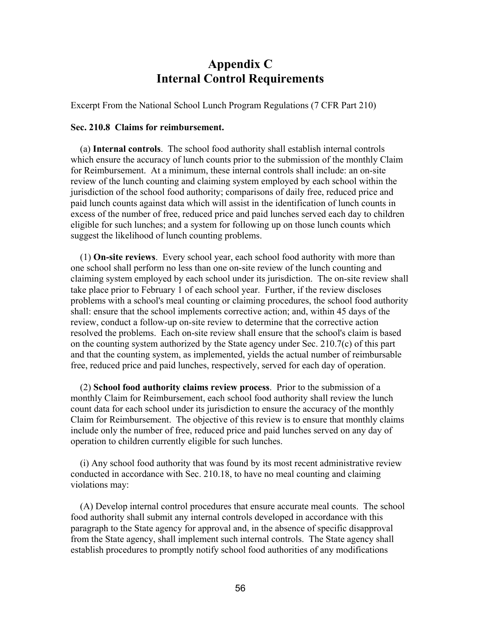### **Appendix C Internal Control Requirements**

Excerpt From the National School Lunch Program Regulations (7 CFR Part 210)

#### **Sec. 210.8 Claims for reimbursement.**

 (a) **Internal controls**. The school food authority shall establish internal controls which ensure the accuracy of lunch counts prior to the submission of the monthly Claim for Reimbursement. At a minimum, these internal controls shall include: an on-site review of the lunch counting and claiming system employed by each school within the jurisdiction of the school food authority; comparisons of daily free, reduced price and paid lunch counts against data which will assist in the identification of lunch counts in excess of the number of free, reduced price and paid lunches served each day to children eligible for such lunches; and a system for following up on those lunch counts which suggest the likelihood of lunch counting problems.

 (1) **On-site reviews**. Every school year, each school food authority with more than one school shall perform no less than one on-site review of the lunch counting and claiming system employed by each school under its jurisdiction. The on-site review shall take place prior to February 1 of each school year. Further, if the review discloses problems with a school's meal counting or claiming procedures, the school food authority shall: ensure that the school implements corrective action; and, within 45 days of the review, conduct a follow-up on-site review to determine that the corrective action resolved the problems. Each on-site review shall ensure that the school's claim is based on the counting system authorized by the State agency under Sec.  $210.7(c)$  of this part and that the counting system, as implemented, yields the actual number of reimbursable free, reduced price and paid lunches, respectively, served for each day of operation.

 (2) **School food authority claims review process**. Prior to the submission of a monthly Claim for Reimbursement, each school food authority shall review the lunch count data for each school under its jurisdiction to ensure the accuracy of the monthly Claim for Reimbursement. The objective of this review is to ensure that monthly claims include only the number of free, reduced price and paid lunches served on any day of operation to children currently eligible for such lunches.

 (i) Any school food authority that was found by its most recent administrative review conducted in accordance with Sec. 210.18, to have no meal counting and claiming violations may:

 (A) Develop internal control procedures that ensure accurate meal counts. The school food authority shall submit any internal controls developed in accordance with this paragraph to the State agency for approval and, in the absence of specific disapproval from the State agency, shall implement such internal controls. The State agency shall establish procedures to promptly notify school food authorities of any modifications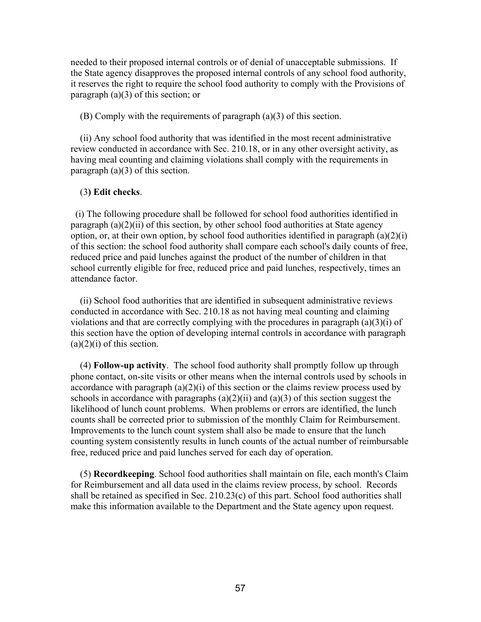needed to their proposed internal controls or of denial of unacceptable submissions. If the State agency disapproves the proposed internal controls of any school food authority, it reserves the right to require the school food authority to comply with the Provisions of paragraph (a)(3) of this section; or

(B) Comply with the requirements of paragraph (a)(3) of this section.

 (ii) Any school food authority that was identified in the most recent administrative review conducted in accordance with Sec. 210.18, or in any other oversight activity, as having meal counting and claiming violations shall comply with the requirements in paragraph  $(a)(3)$  of this section.

#### (3**) Edit checks**.

 (i) The following procedure shall be followed for school food authorities identified in paragraph (a)(2)(ii) of this section, by other school food authorities at State agency option, or, at their own option, by school food authorities identified in paragraph  $(a)(2)(i)$ of this section: the school food authority shall compare each school's daily counts of free, reduced price and paid lunches against the product of the number of children in that school currently eligible for free, reduced price and paid lunches, respectively, times an attendance factor.

 (ii) School food authorities that are identified in subsequent administrative reviews conducted in accordance with Sec. 210.18 as not having meal counting and claiming violations and that are correctly complying with the procedures in paragraph (a)(3)(i) of this section have the option of developing internal controls in accordance with paragraph  $(a)(2)(i)$  of this section.

 (4) **Follow-up activity**. The school food authority shall promptly follow up through phone contact, on-site visits or other means when the internal controls used by schools in accordance with paragraph  $(a)(2)(i)$  of this section or the claims review process used by schools in accordance with paragraphs  $(a)(2)(ii)$  and  $(a)(3)$  of this section suggest the likelihood of lunch count problems. When problems or errors are identified, the lunch counts shall be corrected prior to submission of the monthly Claim for Reimbursement. Improvements to the lunch count system shall also be made to ensure that the lunch counting system consistently results in lunch counts of the actual number of reimbursable free, reduced price and paid lunches served for each day of operation.

 (5) **Recordkeeping**. School food authorities shall maintain on file, each month's Claim for Reimbursement and all data used in the claims review process, by school. Records shall be retained as specified in Sec. 210.23(c) of this part. School food authorities shall make this information available to the Department and the State agency upon request.